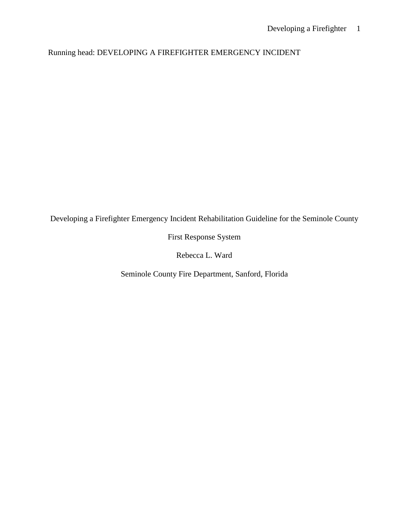Running head: DEVELOPING A FIREFIGHTER EMERGENCY INCIDENT

Developing a Firefighter Emergency Incident Rehabilitation Guideline for the Seminole County

First Response System

Rebecca L. Ward

Seminole County Fire Department, Sanford, Florida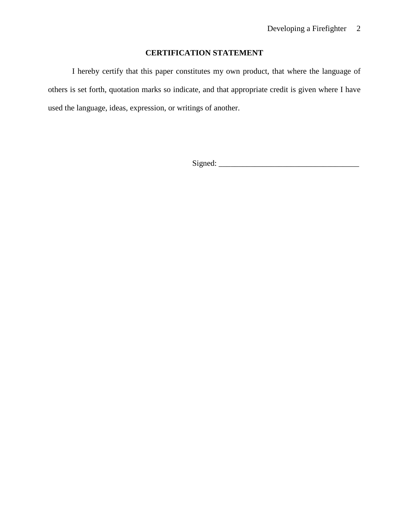# **CERTIFICATION STATEMENT**

I hereby certify that this paper constitutes my own product, that where the language of others is set forth, quotation marks so indicate, and that appropriate credit is given where I have used the language, ideas, expression, or writings of another.

Signed: \_\_\_\_\_\_\_\_\_\_\_\_\_\_\_\_\_\_\_\_\_\_\_\_\_\_\_\_\_\_\_\_\_\_\_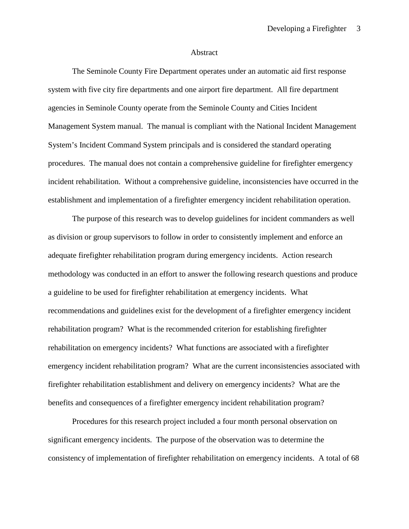#### Abstract

The Seminole County Fire Department operates under an automatic aid first response system with five city fire departments and one airport fire department. All fire department agencies in Seminole County operate from the Seminole County and Cities Incident Management System manual. The manual is compliant with the National Incident Management System's Incident Command System principals and is considered the standard operating procedures. The manual does not contain a comprehensive guideline for firefighter emergency incident rehabilitation. Without a comprehensive guideline, inconsistencies have occurred in the establishment and implementation of a firefighter emergency incident rehabilitation operation.

The purpose of this research was to develop guidelines for incident commanders as well as division or group supervisors to follow in order to consistently implement and enforce an adequate firefighter rehabilitation program during emergency incidents. Action research methodology was conducted in an effort to answer the following research questions and produce a guideline to be used for firefighter rehabilitation at emergency incidents. What recommendations and guidelines exist for the development of a firefighter emergency incident rehabilitation program? What is the recommended criterion for establishing firefighter rehabilitation on emergency incidents? What functions are associated with a firefighter emergency incident rehabilitation program? What are the current inconsistencies associated with firefighter rehabilitation establishment and delivery on emergency incidents? What are the benefits and consequences of a firefighter emergency incident rehabilitation program?

Procedures for this research project included a four month personal observation on significant emergency incidents. The purpose of the observation was to determine the consistency of implementation of firefighter rehabilitation on emergency incidents. A total of 68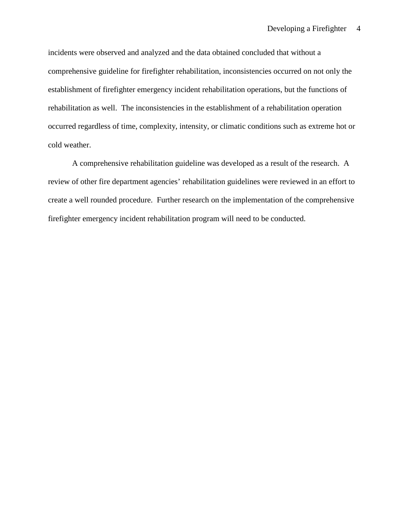incidents were observed and analyzed and the data obtained concluded that without a comprehensive guideline for firefighter rehabilitation, inconsistencies occurred on not only the establishment of firefighter emergency incident rehabilitation operations, but the functions of rehabilitation as well. The inconsistencies in the establishment of a rehabilitation operation occurred regardless of time, complexity, intensity, or climatic conditions such as extreme hot or cold weather.

A comprehensive rehabilitation guideline was developed as a result of the research. A review of other fire department agencies' rehabilitation guidelines were reviewed in an effort to create a well rounded procedure. Further research on the implementation of the comprehensive firefighter emergency incident rehabilitation program will need to be conducted.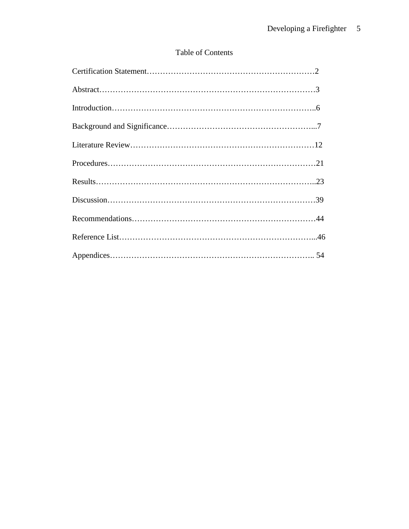# Table of Contents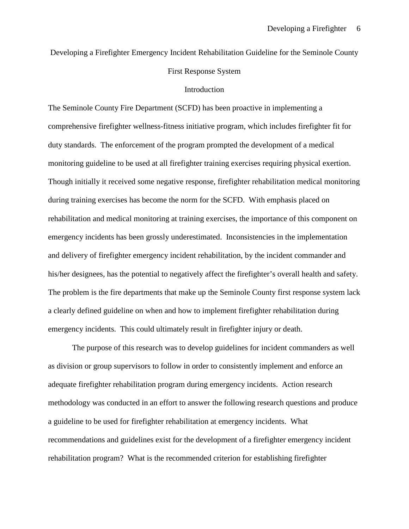Developing a Firefighter Emergency Incident Rehabilitation Guideline for the Seminole County

### First Response System

#### Introduction

The Seminole County Fire Department (SCFD) has been proactive in implementing a comprehensive firefighter wellness-fitness initiative program, which includes firefighter fit for duty standards. The enforcement of the program prompted the development of a medical monitoring guideline to be used at all firefighter training exercises requiring physical exertion. Though initially it received some negative response, firefighter rehabilitation medical monitoring during training exercises has become the norm for the SCFD. With emphasis placed on rehabilitation and medical monitoring at training exercises, the importance of this component on emergency incidents has been grossly underestimated. Inconsistencies in the implementation and delivery of firefighter emergency incident rehabilitation, by the incident commander and his/her designees, has the potential to negatively affect the firefighter's overall health and safety. The problem is the fire departments that make up the Seminole County first response system lack a clearly defined guideline on when and how to implement firefighter rehabilitation during emergency incidents. This could ultimately result in firefighter injury or death.

The purpose of this research was to develop guidelines for incident commanders as well as division or group supervisors to follow in order to consistently implement and enforce an adequate firefighter rehabilitation program during emergency incidents. Action research methodology was conducted in an effort to answer the following research questions and produce a guideline to be used for firefighter rehabilitation at emergency incidents. What recommendations and guidelines exist for the development of a firefighter emergency incident rehabilitation program? What is the recommended criterion for establishing firefighter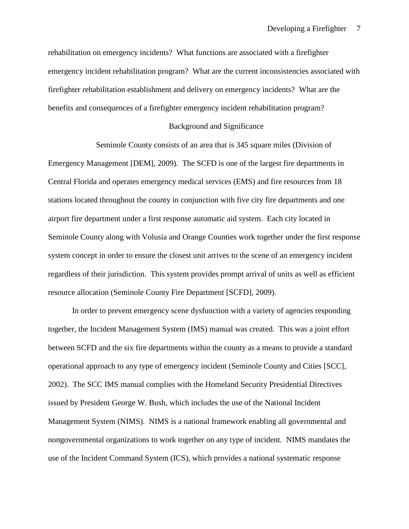rehabilitation on emergency incidents? What functions are associated with a firefighter emergency incident rehabilitation program? What are the current inconsistencies associated with firefighter rehabilitation establishment and delivery on emergency incidents? What are the benefits and consequences of a firefighter emergency incident rehabilitation program?

### Background and Significance

Seminole County consists of an area that is 345 square miles (Division of Emergency Management [DEM], 2009). The SCFD is one of the largest fire departments in Central Florida and operates emergency medical services (EMS) and fire resources from 18 stations located throughout the county in conjunction with five city fire departments and one airport fire department under a first response automatic aid system. Each city located in Seminole County along with Volusia and Orange Counties work together under the first response system concept in order to ensure the closest unit arrives to the scene of an emergency incident regardless of their jurisdiction. This system provides prompt arrival of units as well as efficient resource allocation (Seminole County Fire Department [SCFD], 2009).

In order to prevent emergency scene dysfunction with a variety of agencies responding together, the Incident Management System (IMS) manual was created. This was a joint effort between SCFD and the six fire departments within the county as a means to provide a standard operational approach to any type of emergency incident (Seminole County and Cities [SCC], 2002). The SCC IMS manual complies with the Homeland Security Presidential Directives issued by President George W. Bush, which includes the use of the National Incident Management System (NIMS). NIMS is a national framework enabling all governmental and nongovernmental organizations to work together on any type of incident. NIMS mandates the use of the Incident Command System (ICS), which provides a national systematic response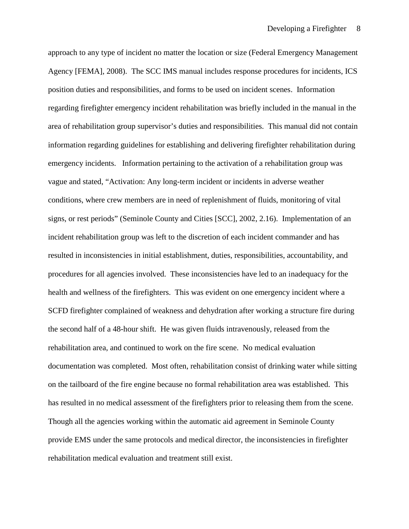approach to any type of incident no matter the location or size (Federal Emergency Management Agency [FEMA], 2008). The SCC IMS manual includes response procedures for incidents, ICS position duties and responsibilities, and forms to be used on incident scenes. Information regarding firefighter emergency incident rehabilitation was briefly included in the manual in the area of rehabilitation group supervisor's duties and responsibilities. This manual did not contain information regarding guidelines for establishing and delivering firefighter rehabilitation during emergency incidents. Information pertaining to the activation of a rehabilitation group was vague and stated, "Activation: Any long-term incident or incidents in adverse weather conditions, where crew members are in need of replenishment of fluids, monitoring of vital signs, or rest periods" (Seminole County and Cities [SCC], 2002, 2.16). Implementation of an incident rehabilitation group was left to the discretion of each incident commander and has resulted in inconsistencies in initial establishment, duties, responsibilities, accountability, and procedures for all agencies involved. These inconsistencies have led to an inadequacy for the health and wellness of the firefighters. This was evident on one emergency incident where a SCFD firefighter complained of weakness and dehydration after working a structure fire during the second half of a 48-hour shift. He was given fluids intravenously, released from the rehabilitation area, and continued to work on the fire scene. No medical evaluation documentation was completed. Most often, rehabilitation consist of drinking water while sitting on the tailboard of the fire engine because no formal rehabilitation area was established. This has resulted in no medical assessment of the firefighters prior to releasing them from the scene. Though all the agencies working within the automatic aid agreement in Seminole County provide EMS under the same protocols and medical director, the inconsistencies in firefighter rehabilitation medical evaluation and treatment still exist.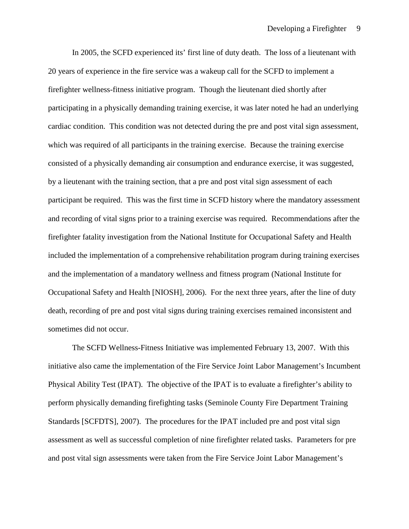In 2005, the SCFD experienced its' first line of duty death. The loss of a lieutenant with 20 years of experience in the fire service was a wakeup call for the SCFD to implement a firefighter wellness-fitness initiative program. Though the lieutenant died shortly after participating in a physically demanding training exercise, it was later noted he had an underlying cardiac condition. This condition was not detected during the pre and post vital sign assessment, which was required of all participants in the training exercise. Because the training exercise consisted of a physically demanding air consumption and endurance exercise, it was suggested, by a lieutenant with the training section, that a pre and post vital sign assessment of each participant be required. This was the first time in SCFD history where the mandatory assessment and recording of vital signs prior to a training exercise was required. Recommendations after the firefighter fatality investigation from the National Institute for Occupational Safety and Health included the implementation of a comprehensive rehabilitation program during training exercises and the implementation of a mandatory wellness and fitness program (National Institute for Occupational Safety and Health [NIOSH], 2006). For the next three years, after the line of duty death, recording of pre and post vital signs during training exercises remained inconsistent and sometimes did not occur.

The SCFD Wellness-Fitness Initiative was implemented February 13, 2007. With this initiative also came the implementation of the Fire Service Joint Labor Management's Incumbent Physical Ability Test (IPAT). The objective of the IPAT is to evaluate a firefighter's ability to perform physically demanding firefighting tasks (Seminole County Fire Department Training Standards [SCFDTS], 2007). The procedures for the IPAT included pre and post vital sign assessment as well as successful completion of nine firefighter related tasks. Parameters for pre and post vital sign assessments were taken from the Fire Service Joint Labor Management's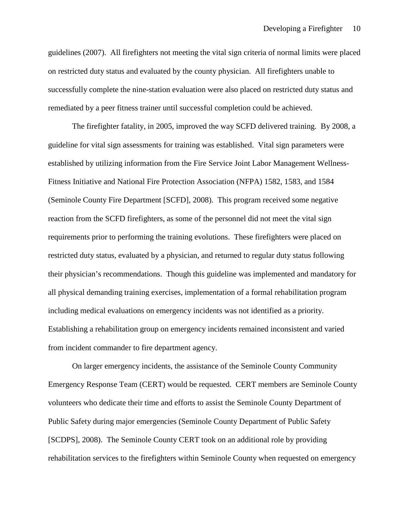guidelines (2007). All firefighters not meeting the vital sign criteria of normal limits were placed on restricted duty status and evaluated by the county physician. All firefighters unable to successfully complete the nine-station evaluation were also placed on restricted duty status and remediated by a peer fitness trainer until successful completion could be achieved.

The firefighter fatality, in 2005, improved the way SCFD delivered training. By 2008, a guideline for vital sign assessments for training was established. Vital sign parameters were established by utilizing information from the Fire Service Joint Labor Management Wellness-Fitness Initiative and National Fire Protection Association (NFPA) 1582, 1583, and 1584 (Seminole County Fire Department [SCFD], 2008). This program received some negative reaction from the SCFD firefighters, as some of the personnel did not meet the vital sign requirements prior to performing the training evolutions. These firefighters were placed on restricted duty status, evaluated by a physician, and returned to regular duty status following their physician's recommendations. Though this guideline was implemented and mandatory for all physical demanding training exercises, implementation of a formal rehabilitation program including medical evaluations on emergency incidents was not identified as a priority. Establishing a rehabilitation group on emergency incidents remained inconsistent and varied from incident commander to fire department agency.

On larger emergency incidents, the assistance of the Seminole County Community Emergency Response Team (CERT) would be requested. CERT members are Seminole County volunteers who dedicate their time and efforts to assist the Seminole County Department of Public Safety during major emergencies (Seminole County Department of Public Safety [SCDPS], 2008). The Seminole County CERT took on an additional role by providing rehabilitation services to the firefighters within Seminole County when requested on emergency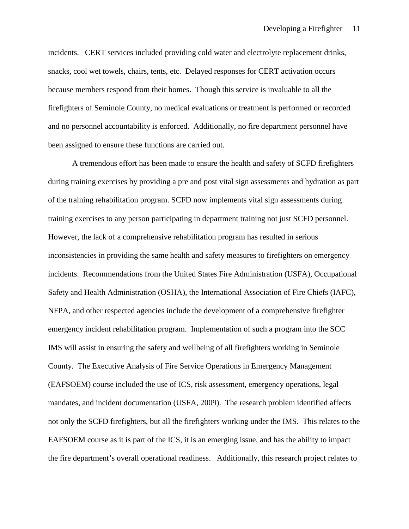incidents. CERT services included providing cold water and electrolyte replacement drinks, snacks, cool wet towels, chairs, tents, etc. Delayed responses for CERT activation occurs because members respond from their homes. Though this service is invaluable to all the firefighters of Seminole County, no medical evaluations or treatment is performed or recorded and no personnel accountability is enforced. Additionally, no fire department personnel have been assigned to ensure these functions are carried out.

A tremendous effort has been made to ensure the health and safety of SCFD firefighters during training exercises by providing a pre and post vital sign assessments and hydration as part of the training rehabilitation program. SCFD now implements vital sign assessments during training exercises to any person participating in department training not just SCFD personnel. However, the lack of a comprehensive rehabilitation program has resulted in serious inconsistencies in providing the same health and safety measures to firefighters on emergency incidents. Recommendations from the United States Fire Administration (USFA), Occupational Safety and Health Administration (OSHA), the International Association of Fire Chiefs (IAFC), NFPA, and other respected agencies include the development of a comprehensive firefighter emergency incident rehabilitation program. Implementation of such a program into the SCC IMS will assist in ensuring the safety and wellbeing of all firefighters working in Seminole County. The Executive Analysis of Fire Service Operations in Emergency Management (EAFSOEM) course included the use of ICS, risk assessment, emergency operations, legal mandates, and incident documentation (USFA, 2009). The research problem identified affects not only the SCFD firefighters, but all the firefighters working under the IMS. This relates to the EAFSOEM course as it is part of the ICS, it is an emerging issue, and has the ability to impact the fire department's overall operational readiness. Additionally, this research project relates to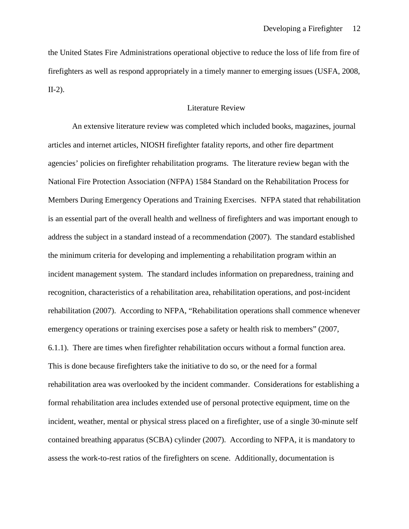the United States Fire Administrations operational objective to reduce the loss of life from fire of firefighters as well as respond appropriately in a timely manner to emerging issues (USFA, 2008, II-2).

## Literature Review

An extensive literature review was completed which included books, magazines, journal articles and internet articles, NIOSH firefighter fatality reports, and other fire department agencies' policies on firefighter rehabilitation programs. The literature review began with the National Fire Protection Association (NFPA) 1584 Standard on the Rehabilitation Process for Members During Emergency Operations and Training Exercises. NFPA stated that rehabilitation is an essential part of the overall health and wellness of firefighters and was important enough to address the subject in a standard instead of a recommendation (2007). The standard established the minimum criteria for developing and implementing a rehabilitation program within an incident management system. The standard includes information on preparedness, training and recognition, characteristics of a rehabilitation area, rehabilitation operations, and post-incident rehabilitation (2007). According to NFPA, "Rehabilitation operations shall commence whenever emergency operations or training exercises pose a safety or health risk to members" (2007, 6.1.1). There are times when firefighter rehabilitation occurs without a formal function area. This is done because firefighters take the initiative to do so, or the need for a formal rehabilitation area was overlooked by the incident commander. Considerations for establishing a formal rehabilitation area includes extended use of personal protective equipment, time on the incident, weather, mental or physical stress placed on a firefighter, use of a single 30-minute self contained breathing apparatus (SCBA) cylinder (2007). According to NFPA, it is mandatory to assess the work-to-rest ratios of the firefighters on scene. Additionally, documentation is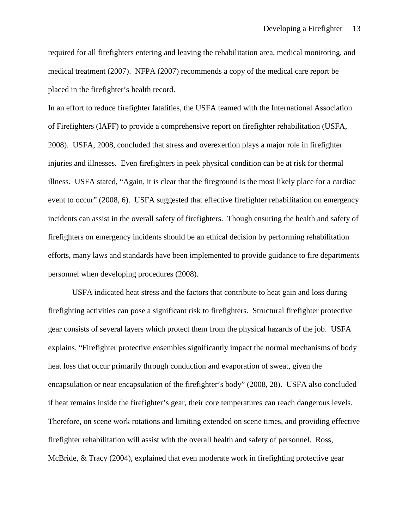required for all firefighters entering and leaving the rehabilitation area, medical monitoring, and medical treatment (2007). NFPA (2007) recommends a copy of the medical care report be placed in the firefighter's health record.

In an effort to reduce firefighter fatalities, the USFA teamed with the International Association of Firefighters (IAFF) to provide a comprehensive report on firefighter rehabilitation (USFA, 2008). USFA, 2008, concluded that stress and overexertion plays a major role in firefighter injuries and illnesses. Even firefighters in peek physical condition can be at risk for thermal illness. USFA stated, "Again, it is clear that the fireground is the most likely place for a cardiac event to occur" (2008, 6). USFA suggested that effective firefighter rehabilitation on emergency incidents can assist in the overall safety of firefighters. Though ensuring the health and safety of firefighters on emergency incidents should be an ethical decision by performing rehabilitation efforts, many laws and standards have been implemented to provide guidance to fire departments personnel when developing procedures (2008).

USFA indicated heat stress and the factors that contribute to heat gain and loss during firefighting activities can pose a significant risk to firefighters. Structural firefighter protective gear consists of several layers which protect them from the physical hazards of the job. USFA explains, "Firefighter protective ensembles significantly impact the normal mechanisms of body heat loss that occur primarily through conduction and evaporation of sweat, given the encapsulation or near encapsulation of the firefighter's body" (2008, 28). USFA also concluded if heat remains inside the firefighter's gear, their core temperatures can reach dangerous levels. Therefore, on scene work rotations and limiting extended on scene times, and providing effective firefighter rehabilitation will assist with the overall health and safety of personnel. Ross, McBride, & Tracy (2004), explained that even moderate work in firefighting protective gear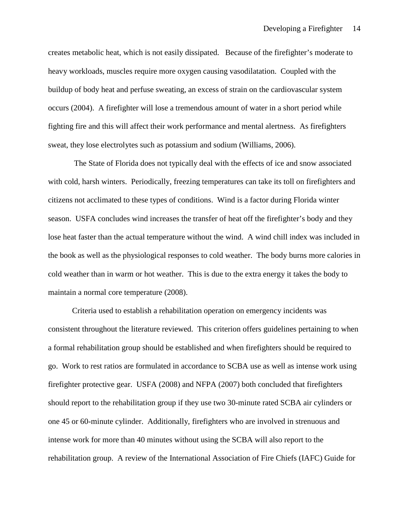creates metabolic heat, which is not easily dissipated. Because of the firefighter's moderate to heavy workloads, muscles require more oxygen causing vasodilatation. Coupled with the buildup of body heat and perfuse sweating, an excess of strain on the cardiovascular system occurs (2004). A firefighter will lose a tremendous amount of water in a short period while fighting fire and this will affect their work performance and mental alertness. As firefighters sweat, they lose electrolytes such as potassium and sodium (Williams, 2006).

The State of Florida does not typically deal with the effects of ice and snow associated with cold, harsh winters. Periodically, freezing temperatures can take its toll on firefighters and citizens not acclimated to these types of conditions. Wind is a factor during Florida winter season. USFA concludes wind increases the transfer of heat off the firefighter's body and they lose heat faster than the actual temperature without the wind. A wind chill index was included in the book as well as the physiological responses to cold weather. The body burns more calories in cold weather than in warm or hot weather. This is due to the extra energy it takes the body to maintain a normal core temperature (2008).

Criteria used to establish a rehabilitation operation on emergency incidents was consistent throughout the literature reviewed. This criterion offers guidelines pertaining to when a formal rehabilitation group should be established and when firefighters should be required to go. Work to rest ratios are formulated in accordance to SCBA use as well as intense work using firefighter protective gear. USFA (2008) and NFPA (2007) both concluded that firefighters should report to the rehabilitation group if they use two 30-minute rated SCBA air cylinders or one 45 or 60-minute cylinder. Additionally, firefighters who are involved in strenuous and intense work for more than 40 minutes without using the SCBA will also report to the rehabilitation group. A review of the International Association of Fire Chiefs (IAFC) Guide for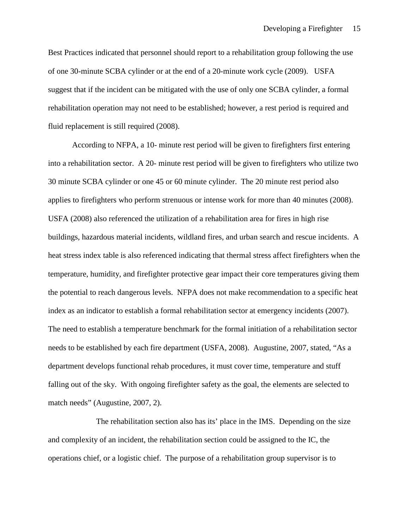Best Practices indicated that personnel should report to a rehabilitation group following the use of one 30-minute SCBA cylinder or at the end of a 20-minute work cycle (2009). USFA suggest that if the incident can be mitigated with the use of only one SCBA cylinder, a formal rehabilitation operation may not need to be established; however, a rest period is required and fluid replacement is still required (2008).

According to NFPA, a 10- minute rest period will be given to firefighters first entering into a rehabilitation sector. A 20- minute rest period will be given to firefighters who utilize two 30 minute SCBA cylinder or one 45 or 60 minute cylinder. The 20 minute rest period also applies to firefighters who perform strenuous or intense work for more than 40 minutes (2008). USFA (2008) also referenced the utilization of a rehabilitation area for fires in high rise buildings, hazardous material incidents, wildland fires, and urban search and rescue incidents. A heat stress index table is also referenced indicating that thermal stress affect firefighters when the temperature, humidity, and firefighter protective gear impact their core temperatures giving them the potential to reach dangerous levels. NFPA does not make recommendation to a specific heat index as an indicator to establish a formal rehabilitation sector at emergency incidents (2007). The need to establish a temperature benchmark for the formal initiation of a rehabilitation sector needs to be established by each fire department (USFA, 2008). Augustine, 2007, stated, "As a department develops functional rehab procedures, it must cover time, temperature and stuff falling out of the sky. With ongoing firefighter safety as the goal, the elements are selected to match needs" (Augustine, 2007, 2).

The rehabilitation section also has its' place in the IMS. Depending on the size and complexity of an incident, the rehabilitation section could be assigned to the IC, the operations chief, or a logistic chief. The purpose of a rehabilitation group supervisor is to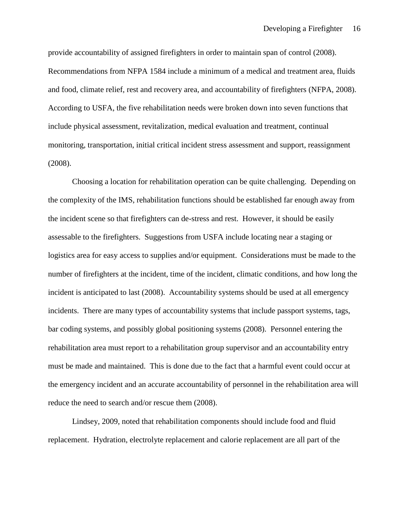provide accountability of assigned firefighters in order to maintain span of control (2008). Recommendations from NFPA 1584 include a minimum of a medical and treatment area, fluids and food, climate relief, rest and recovery area, and accountability of firefighters (NFPA, 2008). According to USFA, the five rehabilitation needs were broken down into seven functions that include physical assessment, revitalization, medical evaluation and treatment, continual monitoring, transportation, initial critical incident stress assessment and support, reassignment (2008).

Choosing a location for rehabilitation operation can be quite challenging. Depending on the complexity of the IMS, rehabilitation functions should be established far enough away from the incident scene so that firefighters can de-stress and rest. However, it should be easily assessable to the firefighters. Suggestions from USFA include locating near a staging or logistics area for easy access to supplies and/or equipment. Considerations must be made to the number of firefighters at the incident, time of the incident, climatic conditions, and how long the incident is anticipated to last (2008). Accountability systems should be used at all emergency incidents. There are many types of accountability systems that include passport systems, tags, bar coding systems, and possibly global positioning systems (2008). Personnel entering the rehabilitation area must report to a rehabilitation group supervisor and an accountability entry must be made and maintained. This is done due to the fact that a harmful event could occur at the emergency incident and an accurate accountability of personnel in the rehabilitation area will reduce the need to search and/or rescue them (2008).

Lindsey, 2009, noted that rehabilitation components should include food and fluid replacement. Hydration, electrolyte replacement and calorie replacement are all part of the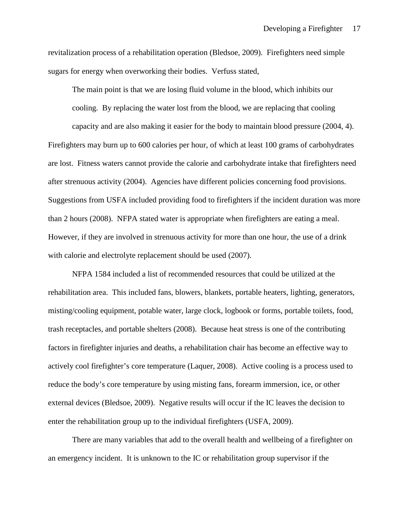revitalization process of a rehabilitation operation (Bledsoe, 2009). Firefighters need simple sugars for energy when overworking their bodies. Verfuss stated,

The main point is that we are losing fluid volume in the blood, which inhibits our cooling. By replacing the water lost from the blood, we are replacing that cooling capacity and are also making it easier for the body to maintain blood pressure (2004, 4). Firefighters may burn up to 600 calories per hour, of which at least 100 grams of carbohydrates are lost. Fitness waters cannot provide the calorie and carbohydrate intake that firefighters need after strenuous activity (2004). Agencies have different policies concerning food provisions. Suggestions from USFA included providing food to firefighters if the incident duration was more than 2 hours (2008). NFPA stated water is appropriate when firefighters are eating a meal. However, if they are involved in strenuous activity for more than one hour, the use of a drink with calorie and electrolyte replacement should be used (2007).

NFPA 1584 included a list of recommended resources that could be utilized at the rehabilitation area. This included fans, blowers, blankets, portable heaters, lighting, generators, misting/cooling equipment, potable water, large clock, logbook or forms, portable toilets, food, trash receptacles, and portable shelters (2008). Because heat stress is one of the contributing factors in firefighter injuries and deaths, a rehabilitation chair has become an effective way to actively cool firefighter's core temperature (Laquer, 2008). Active cooling is a process used to reduce the body's core temperature by using misting fans, forearm immersion, ice, or other external devices (Bledsoe, 2009). Negative results will occur if the IC leaves the decision to enter the rehabilitation group up to the individual firefighters (USFA, 2009).

There are many variables that add to the overall health and wellbeing of a firefighter on an emergency incident. It is unknown to the IC or rehabilitation group supervisor if the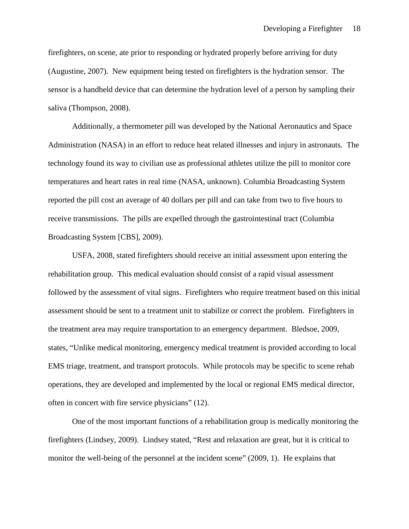firefighters, on scene, ate prior to responding or hydrated properly before arriving for duty (Augustine, 2007). New equipment being tested on firefighters is the hydration sensor. The sensor is a handheld device that can determine the hydration level of a person by sampling their saliva (Thompson, 2008).

Additionally, a thermometer pill was developed by the National Aeronautics and Space Administration (NASA) in an effort to reduce heat related illnesses and injury in astronauts. The technology found its way to civilian use as professional athletes utilize the pill to monitor core temperatures and heart rates in real time (NASA, unknown). Columbia Broadcasting System reported the pill cost an average of 40 dollars per pill and can take from two to five hours to receive transmissions. The pills are expelled through the gastrointestinal tract (Columbia Broadcasting System [CBS], 2009).

USFA, 2008, stated firefighters should receive an initial assessment upon entering the rehabilitation group. This medical evaluation should consist of a rapid visual assessment followed by the assessment of vital signs. Firefighters who require treatment based on this initial assessment should be sent to a treatment unit to stabilize or correct the problem. Firefighters in the treatment area may require transportation to an emergency department. Bledsoe, 2009, states, "Unlike medical monitoring, emergency medical treatment is provided according to local EMS triage, treatment, and transport protocols. While protocols may be specific to scene rehab operations, they are developed and implemented by the local or regional EMS medical director, often in concert with fire service physicians" (12).

One of the most important functions of a rehabilitation group is medically monitoring the firefighters (Lindsey, 2009). Lindsey stated, "Rest and relaxation are great, but it is critical to monitor the well-being of the personnel at the incident scene" (2009, 1). He explains that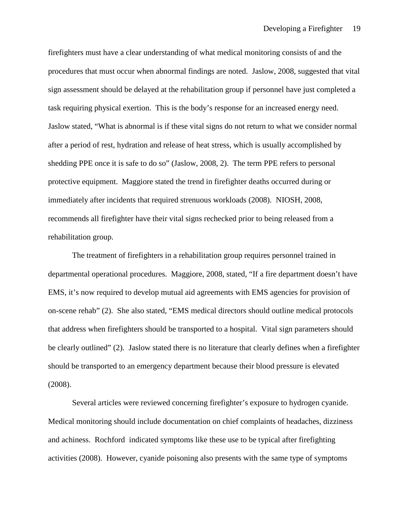firefighters must have a clear understanding of what medical monitoring consists of and the procedures that must occur when abnormal findings are noted. Jaslow, 2008, suggested that vital sign assessment should be delayed at the rehabilitation group if personnel have just completed a task requiring physical exertion. This is the body's response for an increased energy need. Jaslow stated, "What is abnormal is if these vital signs do not return to what we consider normal after a period of rest, hydration and release of heat stress, which is usually accomplished by shedding PPE once it is safe to do so" (Jaslow, 2008, 2). The term PPE refers to personal protective equipment. Maggiore stated the trend in firefighter deaths occurred during or immediately after incidents that required strenuous workloads (2008). NIOSH, 2008, recommends all firefighter have their vital signs rechecked prior to being released from a rehabilitation group.

The treatment of firefighters in a rehabilitation group requires personnel trained in departmental operational procedures. Maggiore, 2008, stated, "If a fire department doesn't have EMS, it's now required to develop mutual aid agreements with EMS agencies for provision of on-scene rehab" (2). She also stated, "EMS medical directors should outline medical protocols that address when firefighters should be transported to a hospital. Vital sign parameters should be clearly outlined" (2). Jaslow stated there is no literature that clearly defines when a firefighter should be transported to an emergency department because their blood pressure is elevated (2008).

Several articles were reviewed concerning firefighter's exposure to hydrogen cyanide. Medical monitoring should include documentation on chief complaints of headaches, dizziness and achiness. Rochford indicated symptoms like these use to be typical after firefighting activities (2008). However, cyanide poisoning also presents with the same type of symptoms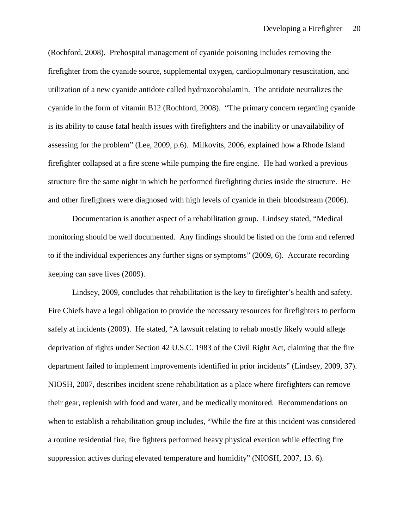(Rochford, 2008). Prehospital management of cyanide poisoning includes removing the firefighter from the cyanide source, supplemental oxygen, cardiopulmonary resuscitation, and utilization of a new cyanide antidote called hydroxocobalamin. The antidote neutralizes the cyanide in the form of vitamin B12 (Rochford, 2008). "The primary concern regarding cyanide is its ability to cause fatal health issues with firefighters and the inability or unavailability of assessing for the problem" (Lee, 2009, p.6). Milkovits, 2006, explained how a Rhode Island firefighter collapsed at a fire scene while pumping the fire engine. He had worked a previous structure fire the same night in which he performed firefighting duties inside the structure. He and other firefighters were diagnosed with high levels of cyanide in their bloodstream (2006).

Documentation is another aspect of a rehabilitation group. Lindsey stated, "Medical monitoring should be well documented. Any findings should be listed on the form and referred to if the individual experiences any further signs or symptoms" (2009, 6). Accurate recording keeping can save lives (2009).

Lindsey, 2009, concludes that rehabilitation is the key to firefighter's health and safety. Fire Chiefs have a legal obligation to provide the necessary resources for firefighters to perform safely at incidents (2009). He stated, "A lawsuit relating to rehab mostly likely would allege deprivation of rights under Section 42 U.S.C. 1983 of the Civil Right Act, claiming that the fire department failed to implement improvements identified in prior incidents" (Lindsey, 2009, 37). NIOSH, 2007, describes incident scene rehabilitation as a place where firefighters can remove their gear, replenish with food and water, and be medically monitored. Recommendations on when to establish a rehabilitation group includes, "While the fire at this incident was considered a routine residential fire, fire fighters performed heavy physical exertion while effecting fire suppression actives during elevated temperature and humidity" (NIOSH, 2007, 13. 6).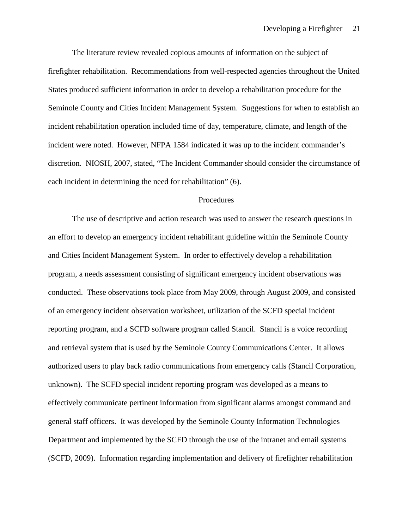The literature review revealed copious amounts of information on the subject of firefighter rehabilitation. Recommendations from well-respected agencies throughout the United States produced sufficient information in order to develop a rehabilitation procedure for the Seminole County and Cities Incident Management System. Suggestions for when to establish an incident rehabilitation operation included time of day, temperature, climate, and length of the incident were noted. However, NFPA 1584 indicated it was up to the incident commander's discretion. NIOSH, 2007, stated, "The Incident Commander should consider the circumstance of each incident in determining the need for rehabilitation" (6).

## Procedures

The use of descriptive and action research was used to answer the research questions in an effort to develop an emergency incident rehabilitant guideline within the Seminole County and Cities Incident Management System. In order to effectively develop a rehabilitation program, a needs assessment consisting of significant emergency incident observations was conducted. These observations took place from May 2009, through August 2009, and consisted of an emergency incident observation worksheet, utilization of the SCFD special incident reporting program, and a SCFD software program called Stancil. Stancil is a voice recording and retrieval system that is used by the Seminole County Communications Center. It allows authorized users to play back radio communications from emergency calls (Stancil Corporation, unknown). The SCFD special incident reporting program was developed as a means to effectively communicate pertinent information from significant alarms amongst command and general staff officers. It was developed by the Seminole County Information Technologies Department and implemented by the SCFD through the use of the intranet and email systems (SCFD, 2009). Information regarding implementation and delivery of firefighter rehabilitation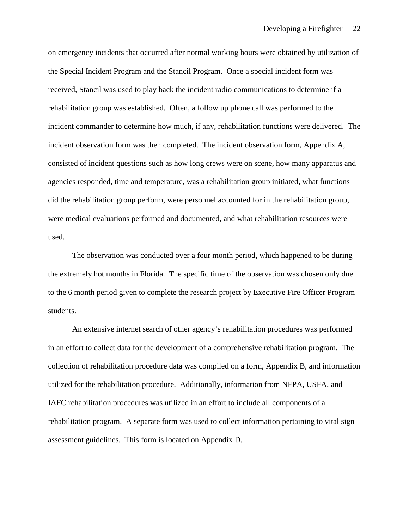on emergency incidents that occurred after normal working hours were obtained by utilization of the Special Incident Program and the Stancil Program. Once a special incident form was received, Stancil was used to play back the incident radio communications to determine if a rehabilitation group was established. Often, a follow up phone call was performed to the incident commander to determine how much, if any, rehabilitation functions were delivered. The incident observation form was then completed. The incident observation form, Appendix A, consisted of incident questions such as how long crews were on scene, how many apparatus and agencies responded, time and temperature, was a rehabilitation group initiated, what functions did the rehabilitation group perform, were personnel accounted for in the rehabilitation group, were medical evaluations performed and documented, and what rehabilitation resources were used.

The observation was conducted over a four month period, which happened to be during the extremely hot months in Florida. The specific time of the observation was chosen only due to the 6 month period given to complete the research project by Executive Fire Officer Program students.

An extensive internet search of other agency's rehabilitation procedures was performed in an effort to collect data for the development of a comprehensive rehabilitation program. The collection of rehabilitation procedure data was compiled on a form, Appendix B, and information utilized for the rehabilitation procedure. Additionally, information from NFPA, USFA, and IAFC rehabilitation procedures was utilized in an effort to include all components of a rehabilitation program. A separate form was used to collect information pertaining to vital sign assessment guidelines. This form is located on Appendix D.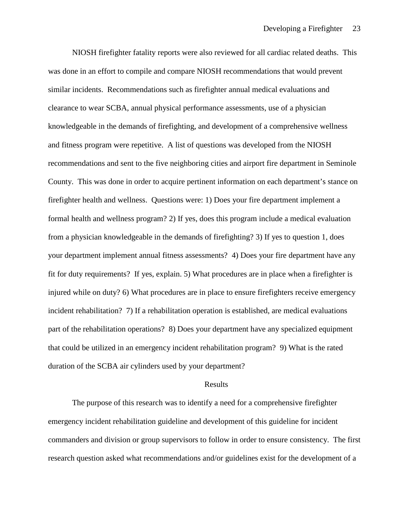NIOSH firefighter fatality reports were also reviewed for all cardiac related deaths. This was done in an effort to compile and compare NIOSH recommendations that would prevent similar incidents. Recommendations such as firefighter annual medical evaluations and clearance to wear SCBA, annual physical performance assessments, use of a physician knowledgeable in the demands of firefighting, and development of a comprehensive wellness and fitness program were repetitive. A list of questions was developed from the NIOSH recommendations and sent to the five neighboring cities and airport fire department in Seminole County. This was done in order to acquire pertinent information on each department's stance on firefighter health and wellness. Questions were: 1) Does your fire department implement a formal health and wellness program? 2) If yes, does this program include a medical evaluation from a physician knowledgeable in the demands of firefighting? 3) If yes to question 1, does your department implement annual fitness assessments? 4) Does your fire department have any fit for duty requirements? If yes, explain. 5) What procedures are in place when a firefighter is injured while on duty? 6) What procedures are in place to ensure firefighters receive emergency incident rehabilitation? 7) If a rehabilitation operation is established, are medical evaluations part of the rehabilitation operations? 8) Does your department have any specialized equipment that could be utilized in an emergency incident rehabilitation program? 9) What is the rated duration of the SCBA air cylinders used by your department?

#### Results

The purpose of this research was to identify a need for a comprehensive firefighter emergency incident rehabilitation guideline and development of this guideline for incident commanders and division or group supervisors to follow in order to ensure consistency. The first research question asked what recommendations and/or guidelines exist for the development of a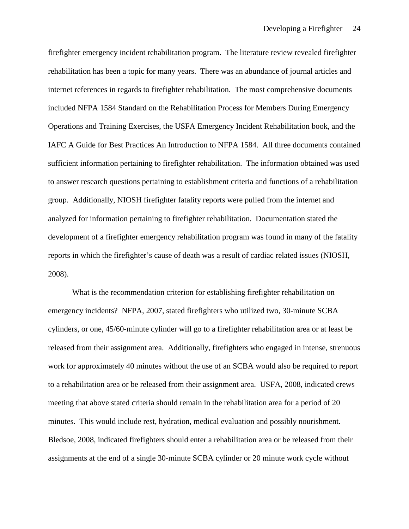firefighter emergency incident rehabilitation program. The literature review revealed firefighter rehabilitation has been a topic for many years. There was an abundance of journal articles and internet references in regards to firefighter rehabilitation. The most comprehensive documents included NFPA 1584 Standard on the Rehabilitation Process for Members During Emergency Operations and Training Exercises, the USFA Emergency Incident Rehabilitation book, and the IAFC A Guide for Best Practices An Introduction to NFPA 1584. All three documents contained sufficient information pertaining to firefighter rehabilitation. The information obtained was used to answer research questions pertaining to establishment criteria and functions of a rehabilitation group. Additionally, NIOSH firefighter fatality reports were pulled from the internet and analyzed for information pertaining to firefighter rehabilitation. Documentation stated the development of a firefighter emergency rehabilitation program was found in many of the fatality reports in which the firefighter's cause of death was a result of cardiac related issues (NIOSH, 2008).

What is the recommendation criterion for establishing firefighter rehabilitation on emergency incidents? NFPA, 2007, stated firefighters who utilized two, 30-minute SCBA cylinders, or one, 45/60-minute cylinder will go to a firefighter rehabilitation area or at least be released from their assignment area. Additionally, firefighters who engaged in intense, strenuous work for approximately 40 minutes without the use of an SCBA would also be required to report to a rehabilitation area or be released from their assignment area. USFA, 2008, indicated crews meeting that above stated criteria should remain in the rehabilitation area for a period of 20 minutes. This would include rest, hydration, medical evaluation and possibly nourishment. Bledsoe, 2008, indicated firefighters should enter a rehabilitation area or be released from their assignments at the end of a single 30-minute SCBA cylinder or 20 minute work cycle without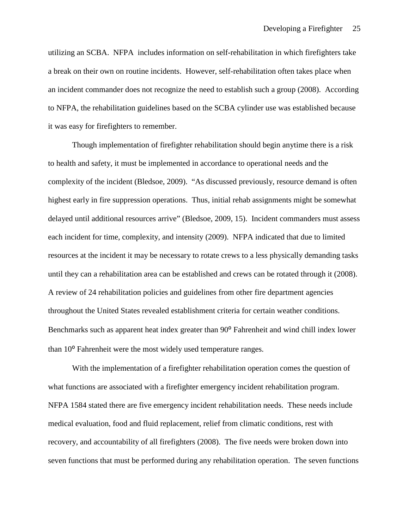utilizing an SCBA. NFPA includes information on self-rehabilitation in which firefighters take a break on their own on routine incidents. However, self-rehabilitation often takes place when an incident commander does not recognize the need to establish such a group (2008). According to NFPA, the rehabilitation guidelines based on the SCBA cylinder use was established because it was easy for firefighters to remember.

Though implementation of firefighter rehabilitation should begin anytime there is a risk to health and safety, it must be implemented in accordance to operational needs and the complexity of the incident (Bledsoe, 2009). "As discussed previously, resource demand is often highest early in fire suppression operations. Thus, initial rehab assignments might be somewhat delayed until additional resources arrive" (Bledsoe, 2009, 15). Incident commanders must assess each incident for time, complexity, and intensity (2009). NFPA indicated that due to limited resources at the incident it may be necessary to rotate crews to a less physically demanding tasks until they can a rehabilitation area can be established and crews can be rotated through it (2008). A review of 24 rehabilitation policies and guidelines from other fire department agencies throughout the United States revealed establishment criteria for certain weather conditions. Benchmarks such as apparent heat index greater than 90<sup>°</sup> Fahrenheit and wind chill index lower than 10<sup>°</sup> Fahrenheit were the most widely used temperature ranges.

With the implementation of a firefighter rehabilitation operation comes the question of what functions are associated with a firefighter emergency incident rehabilitation program. NFPA 1584 stated there are five emergency incident rehabilitation needs. These needs include medical evaluation, food and fluid replacement, relief from climatic conditions, rest with recovery, and accountability of all firefighters (2008). The five needs were broken down into seven functions that must be performed during any rehabilitation operation. The seven functions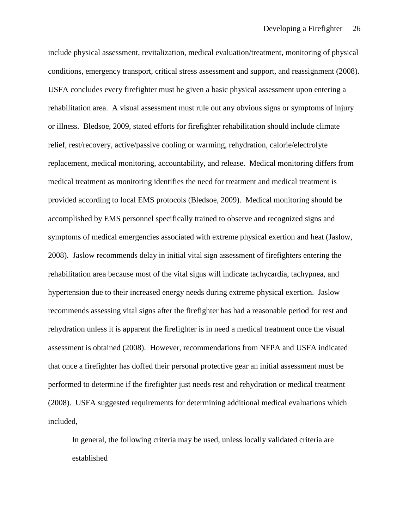include physical assessment, revitalization, medical evaluation/treatment, monitoring of physical conditions, emergency transport, critical stress assessment and support, and reassignment (2008). USFA concludes every firefighter must be given a basic physical assessment upon entering a rehabilitation area. A visual assessment must rule out any obvious signs or symptoms of injury or illness. Bledsoe, 2009, stated efforts for firefighter rehabilitation should include climate relief, rest/recovery, active/passive cooling or warming, rehydration, calorie/electrolyte replacement, medical monitoring, accountability, and release. Medical monitoring differs from medical treatment as monitoring identifies the need for treatment and medical treatment is provided according to local EMS protocols (Bledsoe, 2009). Medical monitoring should be accomplished by EMS personnel specifically trained to observe and recognized signs and symptoms of medical emergencies associated with extreme physical exertion and heat (Jaslow, 2008). Jaslow recommends delay in initial vital sign assessment of firefighters entering the rehabilitation area because most of the vital signs will indicate tachycardia, tachypnea, and hypertension due to their increased energy needs during extreme physical exertion. Jaslow recommends assessing vital signs after the firefighter has had a reasonable period for rest and rehydration unless it is apparent the firefighter is in need a medical treatment once the visual assessment is obtained (2008). However, recommendations from NFPA and USFA indicated that once a firefighter has doffed their personal protective gear an initial assessment must be performed to determine if the firefighter just needs rest and rehydration or medical treatment (2008). USFA suggested requirements for determining additional medical evaluations which included,

In general, the following criteria may be used, unless locally validated criteria are established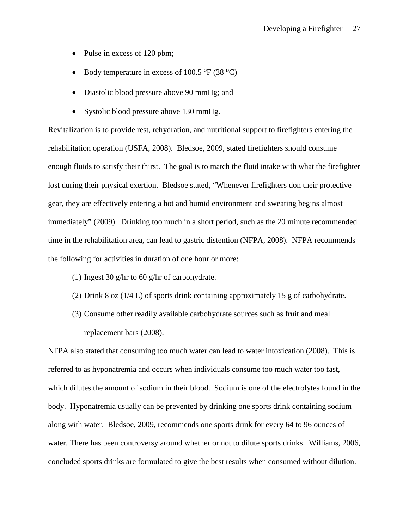- Pulse in excess of 120 pbm;
- Body temperature in excess of  $100.5 \text{ °F}$  (38  $\text{ °C}$ )
- Diastolic blood pressure above 90 mmHg; and
- Systolic blood pressure above 130 mmHg.

Revitalization is to provide rest, rehydration, and nutritional support to firefighters entering the rehabilitation operation (USFA, 2008). Bledsoe, 2009, stated firefighters should consume enough fluids to satisfy their thirst. The goal is to match the fluid intake with what the firefighter lost during their physical exertion. Bledsoe stated, "Whenever firefighters don their protective gear, they are effectively entering a hot and humid environment and sweating begins almost immediately" (2009). Drinking too much in a short period, such as the 20 minute recommended time in the rehabilitation area, can lead to gastric distention (NFPA, 2008). NFPA recommends the following for activities in duration of one hour or more:

- (1) Ingest 30 g/hr to 60 g/hr of carbohydrate.
- (2) Drink 8 oz (1/4 L) of sports drink containing approximately 15 g of carbohydrate.
- (3) Consume other readily available carbohydrate sources such as fruit and meal replacement bars (2008).

NFPA also stated that consuming too much water can lead to water intoxication (2008). This is referred to as hyponatremia and occurs when individuals consume too much water too fast, which dilutes the amount of sodium in their blood. Sodium is one of the electrolytes found in the body. Hyponatremia usually can be prevented by drinking one sports drink containing sodium along with water. Bledsoe, 2009, recommends one sports drink for every 64 to 96 ounces of water. There has been controversy around whether or not to dilute sports drinks. Williams, 2006, concluded sports drinks are formulated to give the best results when consumed without dilution.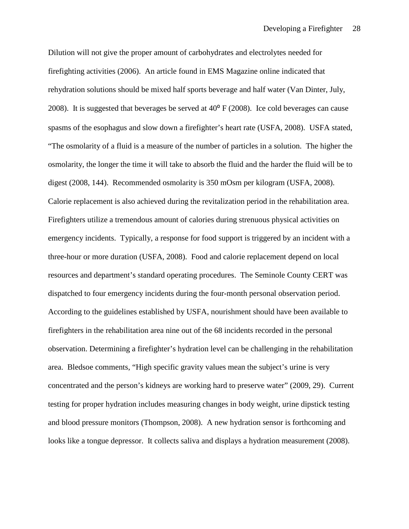Dilution will not give the proper amount of carbohydrates and electrolytes needed for firefighting activities (2006). An article found in EMS Magazine online indicated that rehydration solutions should be mixed half sports beverage and half water (Van Dinter, July, 2008). It is suggested that beverages be served at  $40^{\circ}$  F (2008). Ice cold beverages can cause spasms of the esophagus and slow down a firefighter's heart rate (USFA, 2008). USFA stated, "The osmolarity of a fluid is a measure of the number of particles in a solution. The higher the osmolarity, the longer the time it will take to absorb the fluid and the harder the fluid will be to digest (2008, 144). Recommended osmolarity is 350 mOsm per kilogram (USFA, 2008). Calorie replacement is also achieved during the revitalization period in the rehabilitation area. Firefighters utilize a tremendous amount of calories during strenuous physical activities on emergency incidents. Typically, a response for food support is triggered by an incident with a three-hour or more duration (USFA, 2008). Food and calorie replacement depend on local resources and department's standard operating procedures. The Seminole County CERT was dispatched to four emergency incidents during the four-month personal observation period. According to the guidelines established by USFA, nourishment should have been available to firefighters in the rehabilitation area nine out of the 68 incidents recorded in the personal observation. Determining a firefighter's hydration level can be challenging in the rehabilitation area. Bledsoe comments, "High specific gravity values mean the subject's urine is very concentrated and the person's kidneys are working hard to preserve water" (2009, 29). Current testing for proper hydration includes measuring changes in body weight, urine dipstick testing and blood pressure monitors (Thompson, 2008). A new hydration sensor is forthcoming and looks like a tongue depressor. It collects saliva and displays a hydration measurement (2008).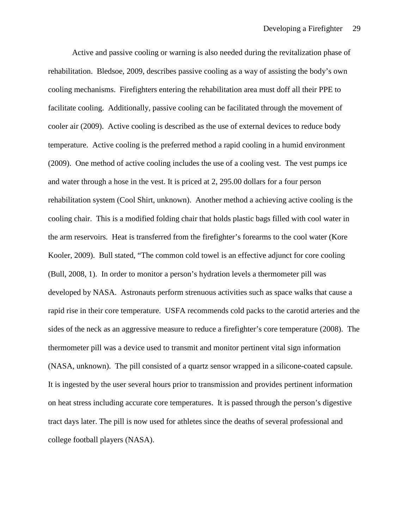Active and passive cooling or warning is also needed during the revitalization phase of rehabilitation. Bledsoe, 2009, describes passive cooling as a way of assisting the body's own cooling mechanisms. Firefighters entering the rehabilitation area must doff all their PPE to facilitate cooling. Additionally, passive cooling can be facilitated through the movement of cooler air (2009). Active cooling is described as the use of external devices to reduce body temperature. Active cooling is the preferred method a rapid cooling in a humid environment (2009). One method of active cooling includes the use of a cooling vest. The vest pumps ice and water through a hose in the vest. It is priced at 2, 295.00 dollars for a four person rehabilitation system (Cool Shirt, unknown). Another method a achieving active cooling is the cooling chair. This is a modified folding chair that holds plastic bags filled with cool water in the arm reservoirs. Heat is transferred from the firefighter's forearms to the cool water (Kore Kooler, 2009). Bull stated, "The common cold towel is an effective adjunct for core cooling (Bull, 2008, 1). In order to monitor a person's hydration levels a thermometer pill was developed by NASA. Astronauts perform strenuous activities such as space walks that cause a rapid rise in their core temperature. USFA recommends cold packs to the carotid arteries and the sides of the neck as an aggressive measure to reduce a firefighter's core temperature (2008). The thermometer pill was a device used to transmit and monitor pertinent vital sign information (NASA, unknown). The pill consisted of a quartz sensor wrapped in a silicone-coated capsule. It is ingested by the user several hours prior to transmission and provides pertinent information on heat stress including accurate core temperatures. It is passed through the person's digestive tract days later. The pill is now used for athletes since the deaths of several professional and college football players (NASA).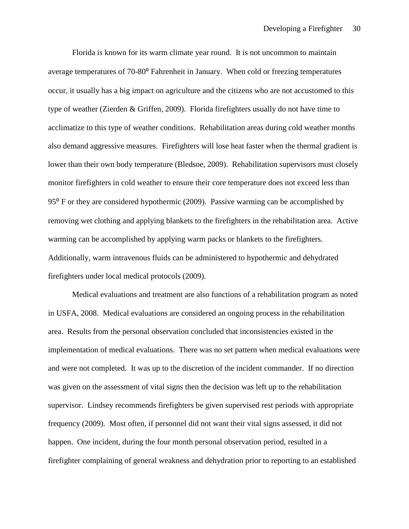Florida is known for its warm climate year round. It is not uncommon to maintain average temperatures of 70-80<sup>°</sup> Fahrenheit in January. When cold or freezing temperatures occur, it usually has a big impact on agriculture and the citizens who are not accustomed to this type of weather (Zierden & Griffen, 2009). Florida firefighters usually do not have time to acclimatize to this type of weather conditions. Rehabilitation areas during cold weather months also demand aggressive measures. Firefighters will lose heat faster when the thermal gradient is lower than their own body temperature (Bledsoe, 2009). Rehabilitation supervisors must closely monitor firefighters in cold weather to ensure their core temperature does not exceed less than  $95<sup>°</sup>$  F or they are considered hypothermic (2009). Passive warming can be accomplished by removing wet clothing and applying blankets to the firefighters in the rehabilitation area. Active warming can be accomplished by applying warm packs or blankets to the firefighters. Additionally, warm intravenous fluids can be administered to hypothermic and dehydrated firefighters under local medical protocols (2009).

Medical evaluations and treatment are also functions of a rehabilitation program as noted in USFA, 2008. Medical evaluations are considered an ongoing process in the rehabilitation area. Results from the personal observation concluded that inconsistencies existed in the implementation of medical evaluations. There was no set pattern when medical evaluations were and were not completed. It was up to the discretion of the incident commander. If no direction was given on the assessment of vital signs then the decision was left up to the rehabilitation supervisor. Lindsey recommends firefighters be given supervised rest periods with appropriate frequency (2009). Most often, if personnel did not want their vital signs assessed, it did not happen. One incident, during the four month personal observation period, resulted in a firefighter complaining of general weakness and dehydration prior to reporting to an established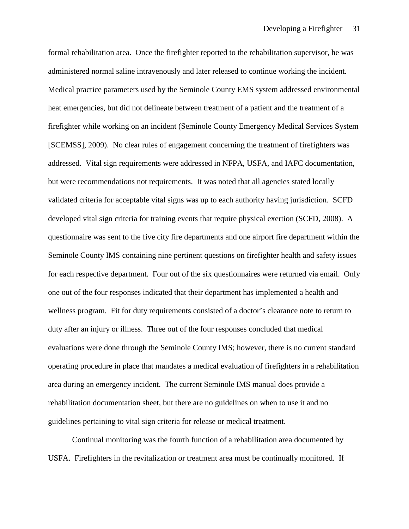formal rehabilitation area. Once the firefighter reported to the rehabilitation supervisor, he was administered normal saline intravenously and later released to continue working the incident. Medical practice parameters used by the Seminole County EMS system addressed environmental heat emergencies, but did not delineate between treatment of a patient and the treatment of a firefighter while working on an incident (Seminole County Emergency Medical Services System [SCEMSS], 2009). No clear rules of engagement concerning the treatment of firefighters was addressed. Vital sign requirements were addressed in NFPA, USFA, and IAFC documentation, but were recommendations not requirements. It was noted that all agencies stated locally validated criteria for acceptable vital signs was up to each authority having jurisdiction. SCFD developed vital sign criteria for training events that require physical exertion (SCFD, 2008). A questionnaire was sent to the five city fire departments and one airport fire department within the Seminole County IMS containing nine pertinent questions on firefighter health and safety issues for each respective department. Four out of the six questionnaires were returned via email. Only one out of the four responses indicated that their department has implemented a health and wellness program. Fit for duty requirements consisted of a doctor's clearance note to return to duty after an injury or illness. Three out of the four responses concluded that medical evaluations were done through the Seminole County IMS; however, there is no current standard operating procedure in place that mandates a medical evaluation of firefighters in a rehabilitation area during an emergency incident. The current Seminole IMS manual does provide a rehabilitation documentation sheet, but there are no guidelines on when to use it and no guidelines pertaining to vital sign criteria for release or medical treatment.

Continual monitoring was the fourth function of a rehabilitation area documented by USFA. Firefighters in the revitalization or treatment area must be continually monitored. If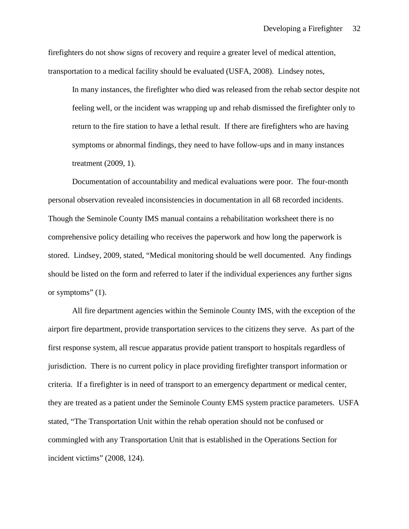firefighters do not show signs of recovery and require a greater level of medical attention, transportation to a medical facility should be evaluated (USFA, 2008). Lindsey notes,

In many instances, the firefighter who died was released from the rehab sector despite not feeling well, or the incident was wrapping up and rehab dismissed the firefighter only to return to the fire station to have a lethal result. If there are firefighters who are having symptoms or abnormal findings, they need to have follow-ups and in many instances treatment (2009, 1).

Documentation of accountability and medical evaluations were poor. The four-month personal observation revealed inconsistencies in documentation in all 68 recorded incidents. Though the Seminole County IMS manual contains a rehabilitation worksheet there is no comprehensive policy detailing who receives the paperwork and how long the paperwork is stored. Lindsey, 2009, stated, "Medical monitoring should be well documented. Any findings should be listed on the form and referred to later if the individual experiences any further signs or symptoms"  $(1)$ .

All fire department agencies within the Seminole County IMS, with the exception of the airport fire department, provide transportation services to the citizens they serve. As part of the first response system, all rescue apparatus provide patient transport to hospitals regardless of jurisdiction. There is no current policy in place providing firefighter transport information or criteria. If a firefighter is in need of transport to an emergency department or medical center, they are treated as a patient under the Seminole County EMS system practice parameters. USFA stated, "The Transportation Unit within the rehab operation should not be confused or commingled with any Transportation Unit that is established in the Operations Section for incident victims" (2008, 124).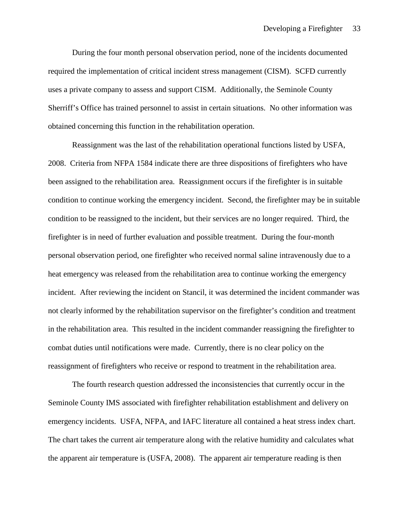During the four month personal observation period, none of the incidents documented required the implementation of critical incident stress management (CISM). SCFD currently uses a private company to assess and support CISM. Additionally, the Seminole County Sherriff's Office has trained personnel to assist in certain situations. No other information was obtained concerning this function in the rehabilitation operation.

Reassignment was the last of the rehabilitation operational functions listed by USFA, 2008. Criteria from NFPA 1584 indicate there are three dispositions of firefighters who have been assigned to the rehabilitation area. Reassignment occurs if the firefighter is in suitable condition to continue working the emergency incident. Second, the firefighter may be in suitable condition to be reassigned to the incident, but their services are no longer required. Third, the firefighter is in need of further evaluation and possible treatment. During the four-month personal observation period, one firefighter who received normal saline intravenously due to a heat emergency was released from the rehabilitation area to continue working the emergency incident. After reviewing the incident on Stancil, it was determined the incident commander was not clearly informed by the rehabilitation supervisor on the firefighter's condition and treatment in the rehabilitation area. This resulted in the incident commander reassigning the firefighter to combat duties until notifications were made. Currently, there is no clear policy on the reassignment of firefighters who receive or respond to treatment in the rehabilitation area.

The fourth research question addressed the inconsistencies that currently occur in the Seminole County IMS associated with firefighter rehabilitation establishment and delivery on emergency incidents. USFA, NFPA, and IAFC literature all contained a heat stress index chart. The chart takes the current air temperature along with the relative humidity and calculates what the apparent air temperature is (USFA, 2008). The apparent air temperature reading is then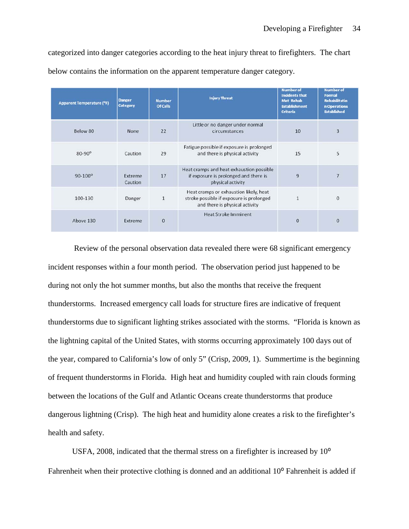categorized into danger categories according to the heat injury threat to firefighters. The chart below contains the information on the apparent temperature danger category.

| <b>Apparent Temperature (°F)</b> | <b>Danger</b><br>Category | <b>Number</b><br>Of Calls | <b>Injury Threat</b>                                                                                                 | <b>Number of</b><br><b>Incidents that</b><br>Met Rehab<br><b>Establishment</b><br><b>Criteria</b> | <b>Number of</b><br>Formal<br><b>Rehabilitatio</b><br>n Operations<br><b>Established</b> |
|----------------------------------|---------------------------|---------------------------|----------------------------------------------------------------------------------------------------------------------|---------------------------------------------------------------------------------------------------|------------------------------------------------------------------------------------------|
| Below 80                         | None                      | 22                        | Little or no danger under normal<br>circumstances                                                                    | 10                                                                                                | $\overline{3}$                                                                           |
| $80 - 90$ <sup>o</sup>           | Caution                   | 29                        | Fatigue possible if exposure is prolonged<br>and there is physical activity                                          | 15                                                                                                | 5                                                                                        |
| $90 - 100^{\circ}$               | Extreme<br>Caution        | 17                        | Heat cramps and heat exhaustion possible<br>if exposure is prolonged and there is<br>physical activity               | 9                                                                                                 | $\overline{\phantom{a}}$                                                                 |
| 100-130                          | Danger                    | $\mathbf{1}$              | Heat cramps or exhaustion likely, heat<br>stroke possible if exposure is prolonged<br>and there is physical activity | 1                                                                                                 | $\mathbf{0}$                                                                             |
| Above 130                        | Extreme                   | $\bf{0}$                  | <b>Heat Stroke Imminent</b>                                                                                          | 0                                                                                                 | $\mathbf{0}$                                                                             |

Review of the personal observation data revealed there were 68 significant emergency incident responses within a four month period. The observation period just happened to be during not only the hot summer months, but also the months that receive the frequent thunderstorms. Increased emergency call loads for structure fires are indicative of frequent thunderstorms due to significant lighting strikes associated with the storms. "Florida is known as the lightning capital of the United States, with storms occurring approximately 100 days out of the year, compared to California's low of only 5" (Crisp, 2009, 1). Summertime is the beginning of frequent thunderstorms in Florida. High heat and humidity coupled with rain clouds forming between the locations of the Gulf and Atlantic Oceans create thunderstorms that produce dangerous lightning (Crisp). The high heat and humidity alone creates a risk to the firefighter's health and safety.

USFA, 2008, indicated that the thermal stress on a firefighter is increased by  $10^{\circ}$ Fahrenheit when their protective clothing is donned and an additional 10<sup>°</sup> Fahrenheit is added if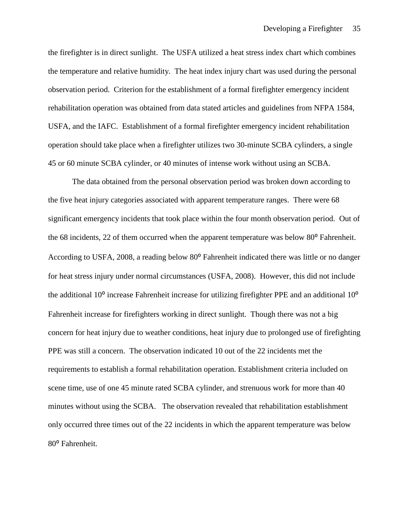the firefighter is in direct sunlight. The USFA utilized a heat stress index chart which combines the temperature and relative humidity. The heat index injury chart was used during the personal observation period. Criterion for the establishment of a formal firefighter emergency incident rehabilitation operation was obtained from data stated articles and guidelines from NFPA 1584, USFA, and the IAFC. Establishment of a formal firefighter emergency incident rehabilitation operation should take place when a firefighter utilizes two 30-minute SCBA cylinders, a single 45 or 60 minute SCBA cylinder, or 40 minutes of intense work without using an SCBA.

The data obtained from the personal observation period was broken down according to the five heat injury categories associated with apparent temperature ranges. There were 68 significant emergency incidents that took place within the four month observation period. Out of the 68 incidents, 22 of them occurred when the apparent temperature was below 80<sup>°</sup> Fahrenheit. According to USFA, 2008, a reading below 80<sup>°</sup> Fahrenheit indicated there was little or no danger for heat stress injury under normal circumstances (USFA, 2008). However, this did not include the additional  $10^{\circ}$  increase Fahrenheit increase for utilizing firefighter PPE and an additional  $10^{\circ}$ Fahrenheit increase for firefighters working in direct sunlight. Though there was not a big concern for heat injury due to weather conditions, heat injury due to prolonged use of firefighting PPE was still a concern. The observation indicated 10 out of the 22 incidents met the requirements to establish a formal rehabilitation operation. Establishment criteria included on scene time, use of one 45 minute rated SCBA cylinder, and strenuous work for more than 40 minutes without using the SCBA. The observation revealed that rehabilitation establishment only occurred three times out of the 22 incidents in which the apparent temperature was below 80<sup>°</sup> Fahrenheit.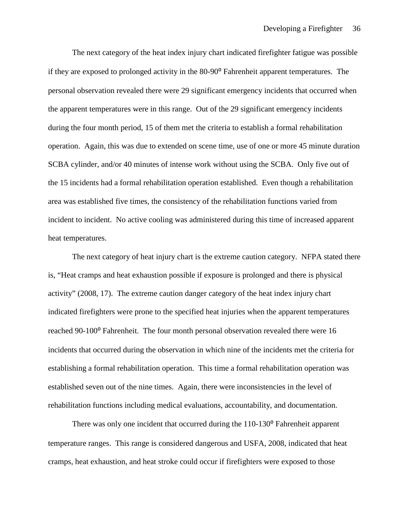The next category of the heat index injury chart indicated firefighter fatigue was possible if they are exposed to prolonged activity in the  $80-90^{\circ}$  Fahrenheit apparent temperatures. The personal observation revealed there were 29 significant emergency incidents that occurred when the apparent temperatures were in this range. Out of the 29 significant emergency incidents during the four month period, 15 of them met the criteria to establish a formal rehabilitation operation. Again, this was due to extended on scene time, use of one or more 45 minute duration SCBA cylinder, and/or 40 minutes of intense work without using the SCBA. Only five out of the 15 incidents had a formal rehabilitation operation established. Even though a rehabilitation area was established five times, the consistency of the rehabilitation functions varied from incident to incident. No active cooling was administered during this time of increased apparent heat temperatures.

The next category of heat injury chart is the extreme caution category. NFPA stated there is, "Heat cramps and heat exhaustion possible if exposure is prolonged and there is physical activity" (2008, 17). The extreme caution danger category of the heat index injury chart indicated firefighters were prone to the specified heat injuries when the apparent temperatures reached 90-100<sup>°</sup> Fahrenheit. The four month personal observation revealed there were 16 incidents that occurred during the observation in which nine of the incidents met the criteria for establishing a formal rehabilitation operation. This time a formal rehabilitation operation was established seven out of the nine times. Again, there were inconsistencies in the level of rehabilitation functions including medical evaluations, accountability, and documentation.

There was only one incident that occurred during the 110-130<sup>°</sup> Fahrenheit apparent temperature ranges. This range is considered dangerous and USFA, 2008, indicated that heat cramps, heat exhaustion, and heat stroke could occur if firefighters were exposed to those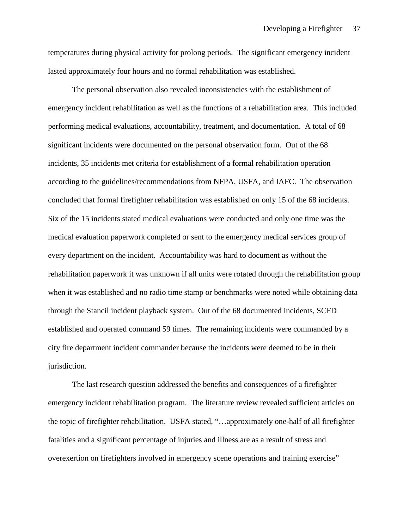temperatures during physical activity for prolong periods. The significant emergency incident lasted approximately four hours and no formal rehabilitation was established.

The personal observation also revealed inconsistencies with the establishment of emergency incident rehabilitation as well as the functions of a rehabilitation area. This included performing medical evaluations, accountability, treatment, and documentation. A total of 68 significant incidents were documented on the personal observation form. Out of the 68 incidents, 35 incidents met criteria for establishment of a formal rehabilitation operation according to the guidelines/recommendations from NFPA, USFA, and IAFC. The observation concluded that formal firefighter rehabilitation was established on only 15 of the 68 incidents. Six of the 15 incidents stated medical evaluations were conducted and only one time was the medical evaluation paperwork completed or sent to the emergency medical services group of every department on the incident. Accountability was hard to document as without the rehabilitation paperwork it was unknown if all units were rotated through the rehabilitation group when it was established and no radio time stamp or benchmarks were noted while obtaining data through the Stancil incident playback system. Out of the 68 documented incidents, SCFD established and operated command 59 times. The remaining incidents were commanded by a city fire department incident commander because the incidents were deemed to be in their jurisdiction.

The last research question addressed the benefits and consequences of a firefighter emergency incident rehabilitation program. The literature review revealed sufficient articles on the topic of firefighter rehabilitation. USFA stated, "…approximately one-half of all firefighter fatalities and a significant percentage of injuries and illness are as a result of stress and overexertion on firefighters involved in emergency scene operations and training exercise"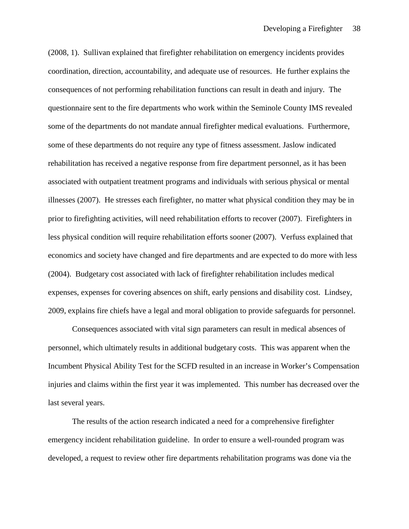(2008, 1). Sullivan explained that firefighter rehabilitation on emergency incidents provides coordination, direction, accountability, and adequate use of resources. He further explains the consequences of not performing rehabilitation functions can result in death and injury. The questionnaire sent to the fire departments who work within the Seminole County IMS revealed some of the departments do not mandate annual firefighter medical evaluations. Furthermore, some of these departments do not require any type of fitness assessment. Jaslow indicated rehabilitation has received a negative response from fire department personnel, as it has been associated with outpatient treatment programs and individuals with serious physical or mental illnesses (2007). He stresses each firefighter, no matter what physical condition they may be in prior to firefighting activities, will need rehabilitation efforts to recover (2007). Firefighters in less physical condition will require rehabilitation efforts sooner (2007). Verfuss explained that economics and society have changed and fire departments and are expected to do more with less (2004). Budgetary cost associated with lack of firefighter rehabilitation includes medical expenses, expenses for covering absences on shift, early pensions and disability cost. Lindsey, 2009, explains fire chiefs have a legal and moral obligation to provide safeguards for personnel.

Consequences associated with vital sign parameters can result in medical absences of personnel, which ultimately results in additional budgetary costs. This was apparent when the Incumbent Physical Ability Test for the SCFD resulted in an increase in Worker's Compensation injuries and claims within the first year it was implemented. This number has decreased over the last several years.

The results of the action research indicated a need for a comprehensive firefighter emergency incident rehabilitation guideline. In order to ensure a well-rounded program was developed, a request to review other fire departments rehabilitation programs was done via the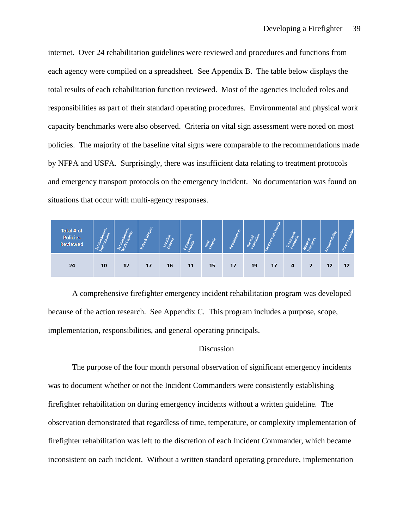internet. Over 24 rehabilitation guidelines were reviewed and procedures and functions from each agency were compiled on a spreadsheet. See Appendix B. The table below displays the total results of each rehabilitation function reviewed. Most of the agencies included roles and responsibilities as part of their standard operating procedures. Environmental and physical work capacity benchmarks were also observed. Criteria on vital sign assessment were noted on most policies. The majority of the baseline vital signs were comparable to the recommendations made by NFPA and USFA. Surprisingly, there was insufficient data relating to treatment protocols and emergency transport protocols on the emergency incident. No documentation was found on situations that occur with multi-agency responses.

| Total # of<br>Policies<br>Reviewed | Eng |    | $\sim$<br>$\mathbf{r}$<br><b>R</b> |    | υ. |    | $\sim$ |    | Ļ<br>Ġ<br>S |   |                | ability |    |
|------------------------------------|-----|----|------------------------------------|----|----|----|--------|----|-------------|---|----------------|---------|----|
| 24                                 | 10  | 12 | 17                                 | 16 | 11 | 15 | 17     | 19 | 17          | 4 | $\overline{2}$ | 12      | 12 |

A comprehensive firefighter emergency incident rehabilitation program was developed because of the action research. See Appendix C. This program includes a purpose, scope, implementation, responsibilities, and general operating principals.

#### **Discussion**

The purpose of the four month personal observation of significant emergency incidents was to document whether or not the Incident Commanders were consistently establishing firefighter rehabilitation on during emergency incidents without a written guideline. The observation demonstrated that regardless of time, temperature, or complexity implementation of firefighter rehabilitation was left to the discretion of each Incident Commander, which became inconsistent on each incident. Without a written standard operating procedure, implementation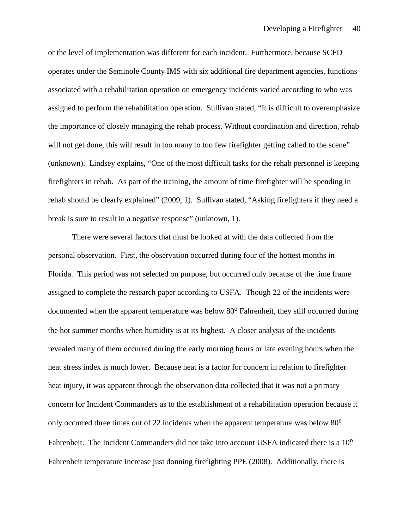or the level of implementation was different for each incident. Furthermore, because SCFD operates under the Seminole County IMS with six additional fire department agencies, functions associated with a rehabilitation operation on emergency incidents varied according to who was assigned to perform the rehabilitation operation. Sullivan stated, "It is difficult to overemphasize the importance of closely managing the rehab process. Without coordination and direction, rehab will not get done, this will result in too many to too few firefighter getting called to the scene" (unknown). Lindsey explains, "One of the most difficult tasks for the rehab personnel is keeping firefighters in rehab. As part of the training, the amount of time firefighter will be spending in rehab should be clearly explained" (2009, 1). Sullivan stated, "Asking firefighters if they need a break is sure to result in a negative response" (unknown, 1).

There were several factors that must be looked at with the data collected from the personal observation. First, the observation occurred during four of the hottest months in Florida. This period was not selected on purpose, but occurred only because of the time frame assigned to complete the research paper according to USFA. Though 22 of the incidents were documented when the apparent temperature was below 80<sup>°</sup> Fahrenheit, they still occurred during the hot summer months when humidity is at its highest. A closer analysis of the incidents revealed many of them occurred during the early morning hours or late evening hours when the heat stress index is much lower. Because heat is a factor for concern in relation to firefighter heat injury, it was apparent through the observation data collected that it was not a primary concern for Incident Commanders as to the establishment of a rehabilitation operation because it only occurred three times out of 22 incidents when the apparent temperature was below  $80^{\circ}$ Fahrenheit. The Incident Commanders did not take into account USFA indicated there is a 10<sup>o</sup> Fahrenheit temperature increase just donning firefighting PPE (2008). Additionally, there is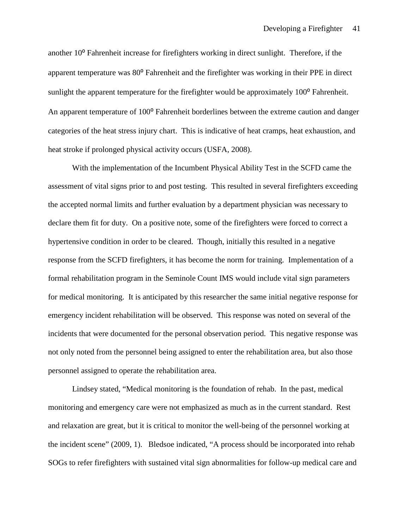another 10<sup>°</sup> Fahrenheit increase for firefighters working in direct sunlight. Therefore, if the apparent temperature was 80° Fahrenheit and the firefighter was working in their PPE in direct sunlight the apparent temperature for the firefighter would be approximately  $100^{\circ}$  Fahrenheit. An apparent temperature of 100<sup>°</sup> Fahrenheit borderlines between the extreme caution and danger categories of the heat stress injury chart. This is indicative of heat cramps, heat exhaustion, and heat stroke if prolonged physical activity occurs (USFA, 2008).

With the implementation of the Incumbent Physical Ability Test in the SCFD came the assessment of vital signs prior to and post testing. This resulted in several firefighters exceeding the accepted normal limits and further evaluation by a department physician was necessary to declare them fit for duty. On a positive note, some of the firefighters were forced to correct a hypertensive condition in order to be cleared. Though, initially this resulted in a negative response from the SCFD firefighters, it has become the norm for training. Implementation of a formal rehabilitation program in the Seminole Count IMS would include vital sign parameters for medical monitoring. It is anticipated by this researcher the same initial negative response for emergency incident rehabilitation will be observed. This response was noted on several of the incidents that were documented for the personal observation period. This negative response was not only noted from the personnel being assigned to enter the rehabilitation area, but also those personnel assigned to operate the rehabilitation area.

Lindsey stated, "Medical monitoring is the foundation of rehab. In the past, medical monitoring and emergency care were not emphasized as much as in the current standard. Rest and relaxation are great, but it is critical to monitor the well-being of the personnel working at the incident scene" (2009, 1). Bledsoe indicated, "A process should be incorporated into rehab SOGs to refer firefighters with sustained vital sign abnormalities for follow-up medical care and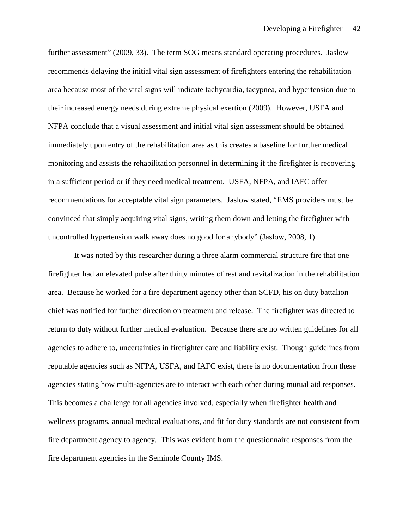further assessment" (2009, 33). The term SOG means standard operating procedures. Jaslow recommends delaying the initial vital sign assessment of firefighters entering the rehabilitation area because most of the vital signs will indicate tachycardia, tacypnea, and hypertension due to their increased energy needs during extreme physical exertion (2009). However, USFA and NFPA conclude that a visual assessment and initial vital sign assessment should be obtained immediately upon entry of the rehabilitation area as this creates a baseline for further medical monitoring and assists the rehabilitation personnel in determining if the firefighter is recovering in a sufficient period or if they need medical treatment. USFA, NFPA, and IAFC offer recommendations for acceptable vital sign parameters. Jaslow stated, "EMS providers must be convinced that simply acquiring vital signs, writing them down and letting the firefighter with uncontrolled hypertension walk away does no good for anybody" (Jaslow, 2008, 1).

It was noted by this researcher during a three alarm commercial structure fire that one firefighter had an elevated pulse after thirty minutes of rest and revitalization in the rehabilitation area. Because he worked for a fire department agency other than SCFD, his on duty battalion chief was notified for further direction on treatment and release. The firefighter was directed to return to duty without further medical evaluation. Because there are no written guidelines for all agencies to adhere to, uncertainties in firefighter care and liability exist. Though guidelines from reputable agencies such as NFPA, USFA, and IAFC exist, there is no documentation from these agencies stating how multi-agencies are to interact with each other during mutual aid responses. This becomes a challenge for all agencies involved, especially when firefighter health and wellness programs, annual medical evaluations, and fit for duty standards are not consistent from fire department agency to agency. This was evident from the questionnaire responses from the fire department agencies in the Seminole County IMS.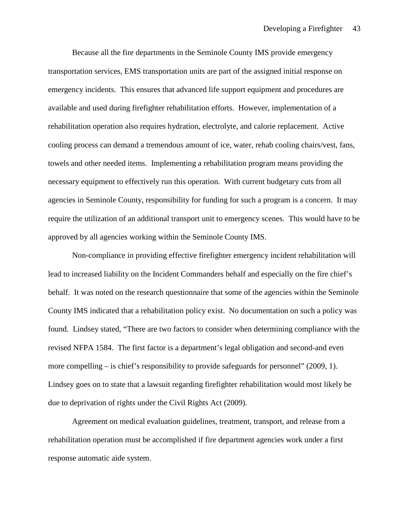Because all the fire departments in the Seminole County IMS provide emergency transportation services, EMS transportation units are part of the assigned initial response on emergency incidents. This ensures that advanced life support equipment and procedures are available and used during firefighter rehabilitation efforts. However, implementation of a rehabilitation operation also requires hydration, electrolyte, and calorie replacement. Active cooling process can demand a tremendous amount of ice, water, rehab cooling chairs/vest, fans, towels and other needed items. Implementing a rehabilitation program means providing the necessary equipment to effectively run this operation. With current budgetary cuts from all agencies in Seminole County, responsibility for funding for such a program is a concern. It may require the utilization of an additional transport unit to emergency scenes. This would have to be approved by all agencies working within the Seminole County IMS.

Non-compliance in providing effective firefighter emergency incident rehabilitation will lead to increased liability on the Incident Commanders behalf and especially on the fire chief's behalf. It was noted on the research questionnaire that some of the agencies within the Seminole County IMS indicated that a rehabilitation policy exist. No documentation on such a policy was found. Lindsey stated, "There are two factors to consider when determining compliance with the revised NFPA 1584. The first factor is a department's legal obligation and second-and even more compelling – is chief's responsibility to provide safeguards for personnel" (2009, 1). Lindsey goes on to state that a lawsuit regarding firefighter rehabilitation would most likely be due to deprivation of rights under the Civil Rights Act (2009).

Agreement on medical evaluation guidelines, treatment, transport, and release from a rehabilitation operation must be accomplished if fire department agencies work under a first response automatic aide system.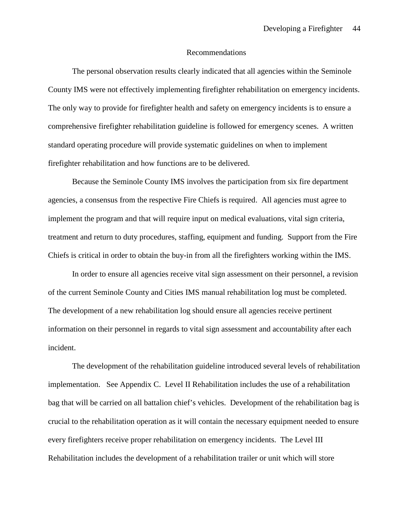#### Recommendations

The personal observation results clearly indicated that all agencies within the Seminole County IMS were not effectively implementing firefighter rehabilitation on emergency incidents. The only way to provide for firefighter health and safety on emergency incidents is to ensure a comprehensive firefighter rehabilitation guideline is followed for emergency scenes. A written standard operating procedure will provide systematic guidelines on when to implement firefighter rehabilitation and how functions are to be delivered.

Because the Seminole County IMS involves the participation from six fire department agencies, a consensus from the respective Fire Chiefs is required. All agencies must agree to implement the program and that will require input on medical evaluations, vital sign criteria, treatment and return to duty procedures, staffing, equipment and funding. Support from the Fire Chiefs is critical in order to obtain the buy-in from all the firefighters working within the IMS.

In order to ensure all agencies receive vital sign assessment on their personnel, a revision of the current Seminole County and Cities IMS manual rehabilitation log must be completed. The development of a new rehabilitation log should ensure all agencies receive pertinent information on their personnel in regards to vital sign assessment and accountability after each incident.

The development of the rehabilitation guideline introduced several levels of rehabilitation implementation. See Appendix C. Level II Rehabilitation includes the use of a rehabilitation bag that will be carried on all battalion chief's vehicles. Development of the rehabilitation bag is crucial to the rehabilitation operation as it will contain the necessary equipment needed to ensure every firefighters receive proper rehabilitation on emergency incidents. The Level III Rehabilitation includes the development of a rehabilitation trailer or unit which will store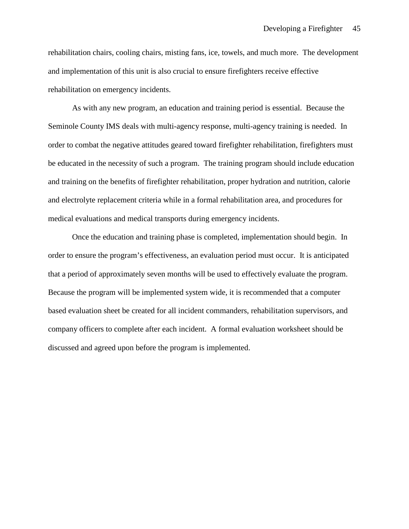rehabilitation chairs, cooling chairs, misting fans, ice, towels, and much more. The development and implementation of this unit is also crucial to ensure firefighters receive effective rehabilitation on emergency incidents.

As with any new program, an education and training period is essential. Because the Seminole County IMS deals with multi-agency response, multi-agency training is needed. In order to combat the negative attitudes geared toward firefighter rehabilitation, firefighters must be educated in the necessity of such a program. The training program should include education and training on the benefits of firefighter rehabilitation, proper hydration and nutrition, calorie and electrolyte replacement criteria while in a formal rehabilitation area, and procedures for medical evaluations and medical transports during emergency incidents.

Once the education and training phase is completed, implementation should begin. In order to ensure the program's effectiveness, an evaluation period must occur. It is anticipated that a period of approximately seven months will be used to effectively evaluate the program. Because the program will be implemented system wide, it is recommended that a computer based evaluation sheet be created for all incident commanders, rehabilitation supervisors, and company officers to complete after each incident. A formal evaluation worksheet should be discussed and agreed upon before the program is implemented.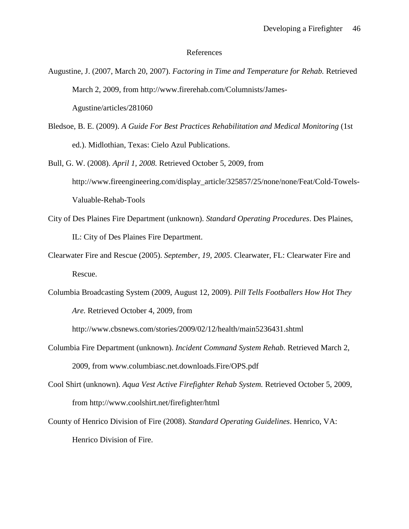#### References

- Augustine, J. (2007, March 20, 2007). *Factoring in Time and Temperature for Rehab.* Retrieved March 2, 2009, from http://www.firerehab.com/Columnists/James-Agustine/articles/281060
- Bledsoe, B. E. (2009). *A Guide For Best Practices Rehabilitation and Medical Monitoring* (1st ed.). Midlothian, Texas: Cielo Azul Publications.
- Bull, G. W. (2008). *April 1, 2008.* Retrieved October 5, 2009, from http://www.fireengineering.com/display\_article/325857/25/none/none/Feat/Cold-Towels-Valuable-Rehab-Tools
- City of Des Plaines Fire Department (unknown). *Standard Operating Procedures*. Des Plaines, IL: City of Des Plaines Fire Department.
- Clearwater Fire and Rescue (2005). *September, 19, 2005*. Clearwater, FL: Clearwater Fire and Rescue.
- Columbia Broadcasting System (2009, August 12, 2009). *Pill Tells Footballers How Hot They Are.* Retrieved October 4, 2009, from

http://www.cbsnews.com/stories/2009/02/12/health/main5236431.shtml

- Columbia Fire Department (unknown). *Incident Command System Rehab.* Retrieved March 2, 2009, from www.columbiasc.net.downloads.Fire/OPS.pdf
- Cool Shirt (unknown). *Aqua Vest Active Firefighter Rehab System.* Retrieved October 5, 2009, from http://www.coolshirt.net/firefighter/html
- County of Henrico Division of Fire (2008). *Standard Operating Guidelines*. Henrico, VA: Henrico Division of Fire.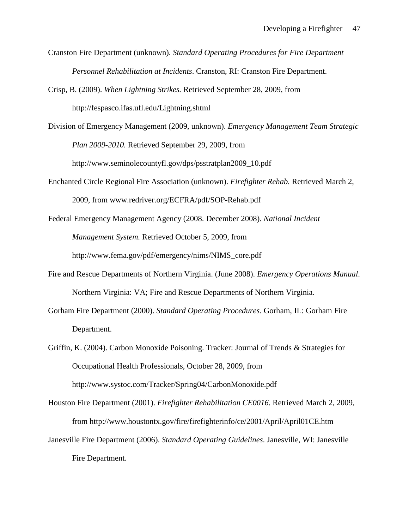- Cranston Fire Department (unknown). *Standard Operating Procedures for Fire Department Personnel Rehabilitation at Incidents*. Cranston, RI: Cranston Fire Department.
- Crisp, B. (2009). *When Lightning Strikes.* Retrieved September 28, 2009, from http://fespasco.ifas.ufl.edu/Lightning.shtml
- Division of Emergency Management (2009, unknown). *Emergency Management Team Strategic Plan 2009-2010.* Retrieved September 29, 2009, from http://www.seminolecountyfl.gov/dps/psstratplan2009\_10.pdf
- Enchanted Circle Regional Fire Association (unknown). *Firefighter Rehab.* Retrieved March 2, 2009, from www.redriver.org/ECFRA/pdf/SOP-Rehab.pdf
- Federal Emergency Management Agency (2008. December 2008). *National Incident Management System.* Retrieved October 5, 2009, from http://www.fema.gov/pdf/emergency/nims/NIMS\_core.pdf
- Fire and Rescue Departments of Northern Virginia. (June 2008). *Emergency Operations Manual*. Northern Virginia: VA; Fire and Rescue Departments of Northern Virginia.
- Gorham Fire Department (2000). *Standard Operating Procedures*. Gorham, IL: Gorham Fire Department.
- Griffin, K. (2004). Carbon Monoxide Poisoning. Tracker: Journal of Trends & Strategies for Occupational Health Professionals, October 28, 2009, from http://www.systoc.com/Tracker/Spring04/CarbonMonoxide.pdf
- Houston Fire Department (2001). *Firefighter Rehabilitation CE0016.* Retrieved March 2, 2009, from http://www.houstontx.gov/fire/firefighterinfo/ce/2001/April/April01CE.htm
- Janesville Fire Department (2006). *Standard Operating Guidelines*. Janesville, WI: Janesville Fire Department.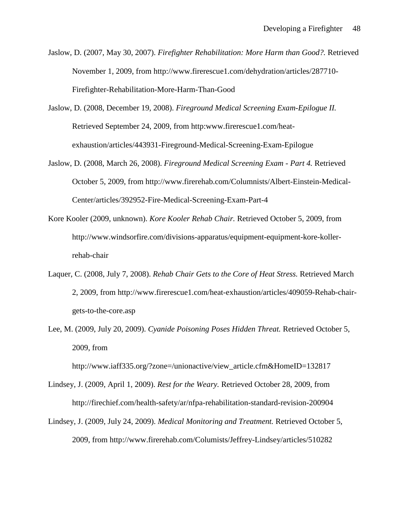- Jaslow, D. (2007, May 30, 2007). *Firefighter Rehabilitation: More Harm than Good?.* Retrieved November 1, 2009, from http://www.firerescue1.com/dehydration/articles/287710- Firefighter-Rehabilitation-More-Harm-Than-Good
- Jaslow, D. (2008, December 19, 2008). *Fireground Medical Screening Exam-Epilogue II.*  Retrieved September 24, 2009, from http:www.firerescue1.com/heatexhaustion/articles/443931-Fireground-Medical-Screening-Exam-Epilogue
- Jaslow, D. (2008, March 26, 2008). *Fireground Medical Screening Exam - Part 4.* Retrieved October 5, 2009, from http://www.firerehab.com/Columnists/Albert-Einstein-Medical-Center/articles/392952-Fire-Medical-Screening-Exam-Part-4
- Kore Kooler (2009, unknown). *Kore Kooler Rehab Chair.* Retrieved October 5, 2009, from http://www.windsorfire.com/divisions-apparatus/equipment-equipment-kore-kollerrehab-chair
- Laquer, C. (2008, July 7, 2008). *Rehab Chair Gets to the Core of Heat Stress.* Retrieved March 2, 2009, from http://www.firerescue1.com/heat-exhaustion/articles/409059-Rehab-chairgets-to-the-core.asp
- Lee, M. (2009, July 20, 2009). *Cyanide Poisoning Poses Hidden Threat.* Retrieved October 5, 2009, from

http://www.iaff335.org/?zone=/unionactive/view\_article.cfm&HomeID=132817

- Lindsey, J. (2009, April 1, 2009). *Rest for the Weary.* Retrieved October 28, 2009, from http://firechief.com/health-safety/ar/nfpa-rehabilitation-standard-revision-200904
- Lindsey, J. (2009, July 24, 2009). *Medical Monitoring and Treatment.* Retrieved October 5, 2009, from http://www.firerehab.com/Columists/Jeffrey-Lindsey/articles/510282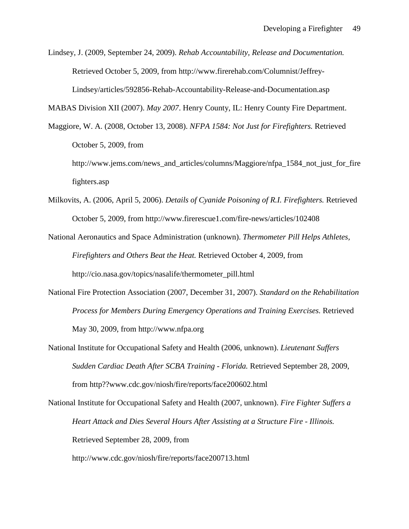Lindsey, J. (2009, September 24, 2009). *Rehab Accountability, Release and Documentation.*  Retrieved October 5, 2009, from http://www.firerehab.com/Columnist/Jeffrey-Lindsey/articles/592856-Rehab-Accountability-Release-and-Documentation.asp

MABAS Division XII (2007). *May 2007*. Henry County, IL: Henry County Fire Department.

Maggiore, W. A. (2008, October 13, 2008). *NFPA 1584: Not Just for Firefighters.* Retrieved October 5, 2009, from

http://www.jems.com/news\_and\_articles/columns/Maggiore/nfpa\_1584\_not\_just\_for\_fire fighters.asp

- Milkovits, A. (2006, April 5, 2006). *Details of Cyanide Poisoning of R.I. Firefighters.* Retrieved October 5, 2009, from http://www.firerescue1.com/fire-news/articles/102408
- National Aeronautics and Space Administration (unknown). *Thermometer Pill Helps Athletes, Firefighters and Others Beat the Heat.* Retrieved October 4, 2009, from http://cio.nasa.gov/topics/nasalife/thermometer\_pill.html
- National Fire Protection Association (2007, December 31, 2007). *Standard on the Rehabilitation Process for Members During Emergency Operations and Training Exercises.* Retrieved May 30, 2009, from http://www.nfpa.org
- National Institute for Occupational Safety and Health (2006, unknown). *Lieutenant Suffers Sudden Cardiac Death After SCBA Training - Florida.* Retrieved September 28, 2009, from http??www.cdc.gov/niosh/fire/reports/face200602.html

National Institute for Occupational Safety and Health (2007, unknown). *Fire Fighter Suffers a Heart Attack and Dies Several Hours After Assisting at a Structure Fire - Illinois.*  Retrieved September 28, 2009, from

http://www.cdc.gov/niosh/fire/reports/face200713.html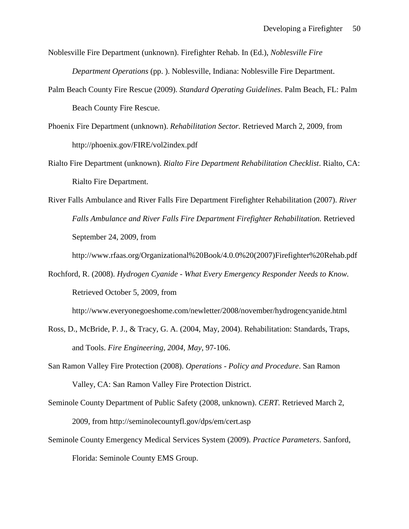Noblesville Fire Department (unknown). Firefighter Rehab. In (Ed.), *Noblesville Fire Department Operations* (pp. ). Noblesville, Indiana: Noblesville Fire Department.

- Palm Beach County Fire Rescue (2009). *Standard Operating Guidelines*. Palm Beach, FL: Palm Beach County Fire Rescue.
- Phoenix Fire Department (unknown). *Rehabilitation Sector.* Retrieved March 2, 2009, from http://phoenix.gov/FIRE/vol2index.pdf
- Rialto Fire Department (unknown). *Rialto Fire Department Rehabilitation Checklist*. Rialto, CA: Rialto Fire Department.
- River Falls Ambulance and River Falls Fire Department Firefighter Rehabilitation (2007). *River Falls Ambulance and River Falls Fire Department Firefighter Rehabilitation.* Retrieved September 24, 2009, from

http://www.rfaas.org/Organizational%20Book/4.0.0%20(2007)Firefighter%20Rehab.pdf

Rochford, R. (2008). *Hydrogen Cyanide - What Every Emergency Responder Needs to Know.*  Retrieved October 5, 2009, from

http://www.everyonegoeshome.com/newletter/2008/november/hydrogencyanide.html

- Ross, D., McBride, P. J., & Tracy, G. A. (2004, May, 2004). Rehabilitation: Standards, Traps, and Tools. *Fire Engineering, 2004, May,* 97-106.
- San Ramon Valley Fire Protection (2008). *Operations - Policy and Procedure*. San Ramon Valley, CA: San Ramon Valley Fire Protection District.
- Seminole County Department of Public Safety (2008, unknown). *CERT.* Retrieved March 2, 2009, from http://seminolecountyfl.gov/dps/em/cert.asp
- Seminole County Emergency Medical Services System (2009). *Practice Parameters*. Sanford, Florida: Seminole County EMS Group.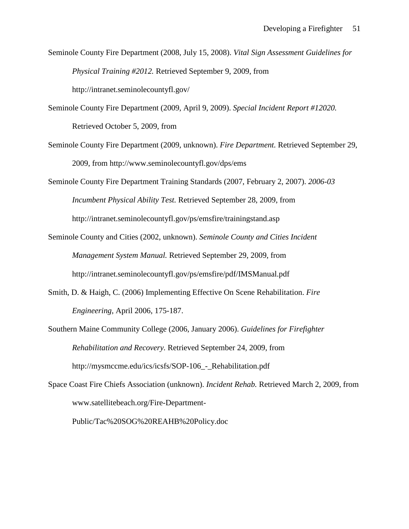Seminole County Fire Department (2008, July 15, 2008). *Vital Sign Assessment Guidelines for Physical Training #2012.* Retrieved September 9, 2009, from http://intranet.seminolecountyfl.gov/

- Seminole County Fire Department (2009, April 9, 2009). *Special Incident Report #12020.*  Retrieved October 5, 2009, from
- Seminole County Fire Department (2009, unknown). *Fire Department.* Retrieved September 29, 2009, from http://www.seminolecountyfl.gov/dps/ems
- Seminole County Fire Department Training Standards (2007, February 2, 2007). *2006-03 Incumbent Physical Ability Test.* Retrieved September 28, 2009, from http://intranet.seminolecountyfl.gov/ps/emsfire/trainingstand.asp
- Seminole County and Cities (2002, unknown). *Seminole County and Cities Incident Management System Manual.* Retrieved September 29, 2009, from http://intranet.seminolecountyfl.gov/ps/emsfire/pdf/IMSManual.pdf
- Smith, D. & Haigh, C. (2006) Implementing Effective On Scene Rehabilitation. *Fire Engineering,* April 2006, 175-187.
- Southern Maine Community College (2006, January 2006). *Guidelines for Firefighter Rehabilitation and Recovery.* Retrieved September 24, 2009, from http://mysmccme.edu/ics/icsfs/SOP-106\_-\_Rehabilitation.pdf
- Space Coast Fire Chiefs Association (unknown). *Incident Rehab.* Retrieved March 2, 2009, from www.satellitebeach.org/Fire-Department-

Public/Tac%20SOG%20REAHB%20Policy.doc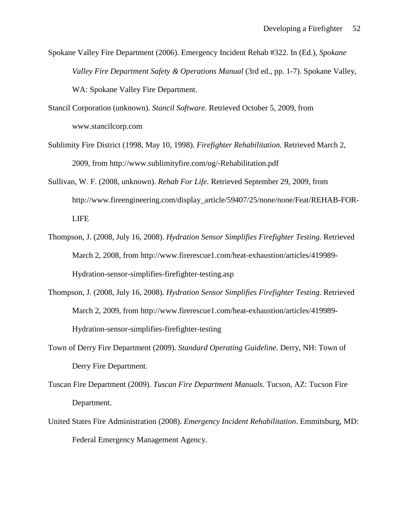Spokane Valley Fire Department (2006). Emergency Incident Rehab #322. In (Ed.), *Spokane Valley Fire Department Safety & Operations Manual (3rd ed., pp. 1-7). Spokane Valley,* WA: Spokane Valley Fire Department.

- Stancil Corporation (unknown). *Stancil Software.* Retrieved October 5, 2009, from www.stancilcorp.com
- Sublimity Fire District (1998, May 10, 1998). *Firefighter Rehabilitation.* Retrieved March 2, 2009, from http://www.sublimityfire.com/og/-Rehabilitation.pdf
- Sullivan, W. F. (2008, unknown). *Rehab For Life.* Retrieved September 29, 2009, from http://www.fireengineering.com/display\_article/59407/25/none/none/Feat/REHAB-FOR-LIFE
- Thompson, J. (2008, July 16, 2008). *Hydration Sensor Simplifies Firefighter Testing.* Retrieved March 2, 2008, from http://www.firerescue1.com/heat-exhaustion/articles/419989- Hydration-sensor-simplifies-firefighter-testing.asp
- Thompson, J. (2008, July 16, 2008). *Hydration Sensor Simplifies Firefighter Testing.* Retrieved March 2, 2009, from http://www.firerescue1.com/heat-exhaustion/articles/419989- Hydration-sensor-simplifies-firefighter-testing
- Town of Derry Fire Department (2009). *Standard Operating Guideline*. Derry, NH: Town of Derry Fire Department.
- Tuscan Fire Department (2009). *Tuscan Fire Department Manuals*. Tucson, AZ: Tucson Fire Department.
- United States Fire Administration (2008). *Emergency Incident Rehabilitation*. Emmitsburg, MD: Federal Emergency Management Agency.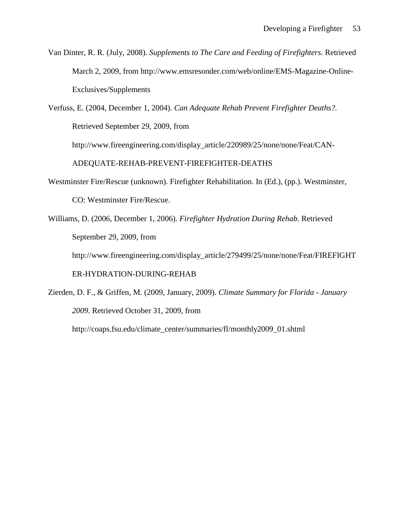Van Dinter, R. R. (July, 2008). *Supplements to The Care and Feeding of Firefighters.* Retrieved March 2, 2009, from http://www.emsresonder.com/web/online/EMS-Magazine-Online-Exclusives/Supplements

Verfuss, E. (2004, December 1, 2004). *Can Adequate Rehab Prevent Firefighter Deaths?.*  Retrieved September 29, 2009, from http://www.fireengineering.com/display\_article/220989/25/none/none/Feat/CAN-ADEQUATE-REHAB-PREVENT-FIREFIGHTER-DEATHS

- Westminster Fire/Rescue (unknown). Firefighter Rehabilitation. In (Ed.), (pp.). Westminster, CO: Westminster Fire/Rescue.
- Williams, D. (2006, December 1, 2006). *Firefighter Hydration During Rehab.* Retrieved September 29, 2009, from

http://www.fireengineering.com/display\_article/279499/25/none/none/Feat/FIREFIGHT

ER-HYDRATION-DURING-REHAB

Zierden, D. F., & Griffen, M. (2009, January, 2009). *Climate Summary for Florida - January 2009.* Retrieved October 31, 2009, from http://coaps.fsu.edu/climate\_center/summaries/fl/monthly2009\_01.shtml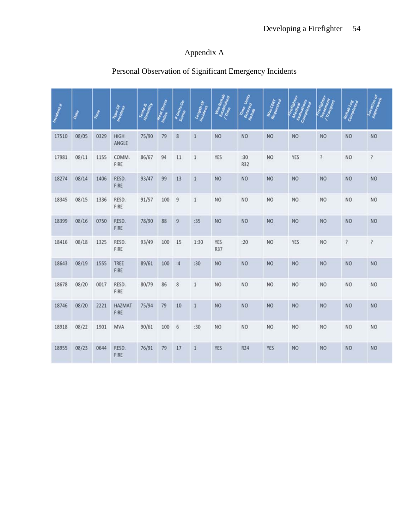## Appendix A

# Personal Observation of Significant Emergency Incidents

| Incidents | Date  | TIME | Trace Or              |       | Index Stress | # Units On     | Length Of    | Was Rehab      | Time Units | <b>Was Cony</b> |            |                | Rehab Log<br>Completed | Location of    |
|-----------|-------|------|-----------------------|-------|--------------|----------------|--------------|----------------|------------|-----------------|------------|----------------|------------------------|----------------|
| 17510     | 08/05 | 0329 | HIGH<br>ANGLE         | 75/90 | 79           | $\bf 8$        | $\,1$        | <b>NO</b>      | NO.        | NO              | <b>NO</b>  | <b>NO</b>      | <b>NO</b>              | NO             |
| 17981     | 08/11 | 1155 | COMM.<br>FIRE         | 86/67 | 94           | $11\,$         | $1\,$        | YES            | :30<br>R32 | NO.             | YES        | P.             | NO.                    | <sup>2</sup>   |
| 18274     | 08/14 | 1406 | RESD.<br>FIRE         | 93/47 | 99           | 13             | $\mathbf{1}$ | <b>NO</b>      | NO         | NO.             | <b>NO</b>  | N <sub>O</sub> | <b>NO</b>              | <b>NO</b>      |
| 18345     | 08/15 | 1336 | RESD.<br>FIRE         | 91/57 | 100          | $\overline{9}$ | $\mathbf{1}$ | NO             | NO.        | <b>NO</b>       | <b>NO</b>  | <b>NO</b>      | NO                     | N <sub>O</sub> |
| 18399     | 08/16 | 0750 | RESD.<br>FIRE         | 78/90 | 88           | $\overline{9}$ | :35          | NO             | <b>NO</b>  | <b>NO</b>       | <b>NO</b>  | N <sub>O</sub> | <b>NO</b>              | N <sub>O</sub> |
| 18416     | 08/18 | 1325 | RESD.<br>FIRE         | 93/49 | 100          | 15             | 1:30         | YES<br>R37     | : 20       | NO              | <b>YES</b> | NO             | ş.                     | ş.             |
| 18643     | 08/19 | 1555 | TREE<br>FIRE          | 89/61 | 100          | :4             | :30          | NO <sub></sub> | <b>NO</b>  | <b>NO</b>       | NO         | NO             | <b>NO</b>              | <b>NO</b>      |
| 18678     | 08/20 | 0017 | RESD.<br>FIRE         | 80/79 | 86           | $\bf 8$        | $1\,$        | N <sub>O</sub> | NO         | NO              | NO         | <b>NO</b>      | NO                     | NO.            |
| 18746     | 08/20 | 2221 | <b>HAZMAT</b><br>FIRE | 75/94 | 79           | 10             | $\mathbf{1}$ | N <sub>O</sub> | <b>NO</b>  | NO.             | <b>NO</b>  | N <sub>O</sub> | NO                     | <b>NO</b>      |
| 18918     | 08/22 | 1901 | <b>MVA</b>            | 90/61 | 100          | 6              | :30          | N <sub>O</sub> | NO.        | NO.             | NO         | <b>NO</b>      | NO                     | N <sub>O</sub> |
| 18955     | 08/23 | 0644 | RESD.<br>FIRE         | 76/91 | 79           | 17             | $\mathbf{1}$ | <b>YES</b>     | R24        | <b>YES</b>      | <b>NO</b>  | <b>NO</b>      | <b>NO</b>              | NO.            |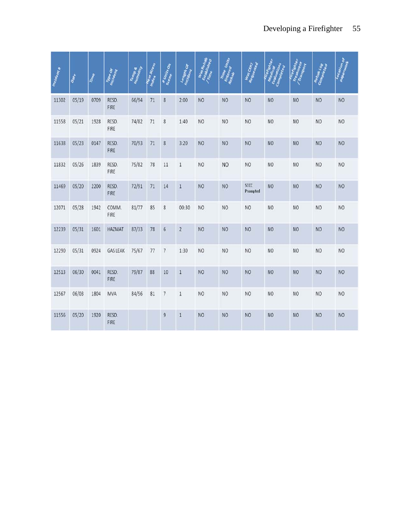| Incidents | Date  | Time | <b>Oo</b>     | Tempe | Malex Stress | # Units On              | <b>Censer</b>  | Rehab          | Time Units     | Was Clay<br>Request |                |                | Rehab Log<br>Completed | Tocation of    |
|-----------|-------|------|---------------|-------|--------------|-------------------------|----------------|----------------|----------------|---------------------|----------------|----------------|------------------------|----------------|
| 11302     | 05/19 | 0709 | RESD.<br>FIRE | 66/94 | 71           | $\overline{\mathbf{8}}$ | 2:00           | N <sub>O</sub> | <b>NO</b>      | NO                  | <b>NO</b>      | <b>NO</b>      | <b>NO</b>              | N <sub>O</sub> |
| 11558     | 05/21 | 1928 | RESD.<br>FIRE | 74/82 | 71           | 8                       | 1:40           | N <sub>O</sub> | NO.            | NO                  | NO             | N <sub>O</sub> | NO                     | NO             |
| 11638     | 05/23 | 0147 | RESD.<br>FIRE | 70/93 | 71           | 8                       | 3:20           | <b>NO</b>      | N <sub>O</sub> | <b>NO</b>           | <b>NO</b>      | <b>NO</b>      | NO                     | N <sub>O</sub> |
| 11832     | 05/26 | 1839 | RESD.<br>FIRE | 75/82 | 78           | 11                      | $\mathbf{1}$   | N <sub>O</sub> | NO             | NO                  | NO.            | N <sub>O</sub> | NO                     | NO             |
| 11469     | 05/20 | 2200 | RESD.<br>FIRE | 72/91 | 71           | 14                      | $\mathbf{1}$   | N <sub>O</sub> | <b>NO</b>      | SCCC<br>Prompted    | <b>NO</b>      | N <sub>O</sub> | <b>NO</b>              | <b>NO</b>      |
| 12071     | 05/28 | 1942 | COMM.<br>FIRE | 81/77 | 85           | 8                       | 00:30          | N <sub>O</sub> | N <sub>O</sub> | N <sub>O</sub>      | NO             | N <sub>O</sub> | N <sub>O</sub>         | NO             |
| 12239     | 05/31 | 1601 | <b>HAZMAT</b> | 87/33 | 78           | 6                       | $\overline{c}$ | <b>NO</b>      | <b>NO</b>      | <b>NO</b>           | NO             | <b>NO</b>      | <b>NO</b>              | <b>NO</b>      |
| 12290     | 05/31 | 0924 | GASLEAK       | 75/67 | 77           | $\overline{7}$          | 1:30           | N <sub>O</sub> | NO.            | NO                  | NO             | N <sub>O</sub> | N <sub>O</sub>         | NO             |
| 12513     | 06/30 | 0041 | RESD.<br>FIRE | 79/87 | 88           | $10\,$                  | $\mathbf{1}$   | N <sub>O</sub> | <b>NO</b>      | NO                  | NO             | N <sub>O</sub> | N <sub>O</sub>         | N <sub>O</sub> |
| 12567     | 06/03 | 1804 | <b>MVA</b>    | 84/56 | 81           | $\overline{7}$          | $1\,$          | N <sub>O</sub> | NO.            | NO                  | NO             | N <sub>O</sub> | NO                     | NO             |
| 11556     | 05/20 | 1920 | RESD.<br>FIRE |       |              | $\overline{9}$          | $\,1$          | N <sub>O</sub> | N <sub>O</sub> | N <sub>O</sub>      | N <sub>O</sub> | <b>NO</b>      | N <sub>O</sub>         | N <sub>O</sub> |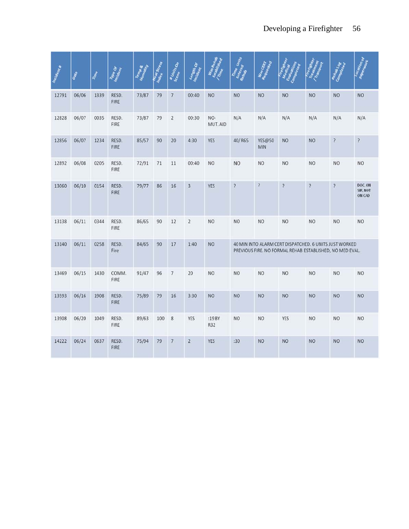| Incidents | Date  | Time | <b>VDe OF</b>        |       | <b>Meat Stress</b> | # Units On       | engen Or       |                      | Units          | Was Clay             |                                                                                                                    |                | Rehab Log      | Tocational                          |
|-----------|-------|------|----------------------|-------|--------------------|------------------|----------------|----------------------|----------------|----------------------|--------------------------------------------------------------------------------------------------------------------|----------------|----------------|-------------------------------------|
| 12791     | 06/06 | 1339 | RESD.<br>FIRE        | 73/87 | 79                 | $\overline{7}$   | 00:40          | <b>NO</b>            | <b>NO</b>      | <b>NO</b>            | <b>NO</b>                                                                                                          | <b>NO</b>      | <b>NO</b>      | N <sub>O</sub>                      |
| 12828     | 06/07 | 0035 | RESD.<br>FIRE        | 73/87 | 79                 | $\overline{2}$   | 00:30          | NO-<br>MUT. AID      | N/A            | N/A                  | N/A                                                                                                                | N/A            | N/A            | N/A                                 |
| 12856     | 06/07 | 1234 | RESD.<br><b>FIRE</b> | 85/57 | 90                 | 20               | 4:30           | <b>YES</b>           | 40/R65         | <b>YES@50</b><br>MIN | <b>NO</b>                                                                                                          | <b>NO</b>      | $\overline{?}$ | $\overline{\mathcal{E}}$            |
| 12892     | 06/08 | 0205 | RESD.<br>FIRE        | 72/91 | $71$               | 11               | 00:40          | <b>NO</b>            | <b>NO</b>      | NO.                  | N <sub>O</sub>                                                                                                     | <b>NO</b>      | <b>NO</b>      | NO.                                 |
| 13060     | 06/10 | 0154 | RESD.<br><b>FIRE</b> | 79/77 | 86                 | 16               | 3              | <b>YES</b>           | Ś.             | $\overline{?}$       | <sup>2</sup>                                                                                                       | $\overline{?}$ | P              | DOC.ON<br><b>SIR. NOT</b><br>ON CAD |
| 13138     | 06/11 | 0344 | RESD.<br>FIRE        | 86/65 | 90                 | 12               | $\overline{c}$ | <b>NO</b>            | <b>NO</b>      | <b>NO</b>            | NO.                                                                                                                | <b>NO</b>      | <b>NO</b>      | <b>NO</b>                           |
| 13140     | 06/11 | 0258 | RESD.<br>Fire        | 84/65 | 90                 | $17$             | 1:40           | <b>NO</b>            |                |                      | 40 MIN INTO ALARM CERT DISPATCHED. 6 UNITS JUST WORKED<br>PREVIOUS FIRE. NO FORMAL REHAB ESTABLISHED, NO MED EVAL. |                |                |                                     |
| 13469     | 06/15 | 1430 | COMM.<br>FIRE        | 91/47 | 96                 | $\overline{7}$   | 20             | <b>NO</b>            | N <sub>O</sub> | NO.                  | NO <sub>1</sub>                                                                                                    | N <sub>O</sub> | N <sub>O</sub> | N <sub>O</sub>                      |
| 13593     | 06/16 | 1908 | RESD.<br>FIRE        | 75/89 | 79                 | 16               | 3:30           | <b>NO</b>            | <b>NO</b>      | <b>NO</b>            | <b>NO</b>                                                                                                          | <b>NO</b>      | <b>NO</b>      | <b>NO</b>                           |
| 13908     | 06/20 | 1049 | RESD.<br>FIRE        | 89/63 | 100                | $\boldsymbol{8}$ | YES            | :19 BY<br><b>R32</b> | <b>NO</b>      | NO.                  | YES                                                                                                                | N <sub>O</sub> | N <sub>O</sub> | NO.                                 |
| 14222     | 06/24 | 0637 | RESD.<br>FIRE        | 75/94 | 79                 | $\overline{7}$   | $\overline{2}$ | <b>YES</b>           | :30            | <b>NO</b>            | <b>NO</b>                                                                                                          | <b>NO</b>      | <b>NO</b>      | <b>NO</b>                           |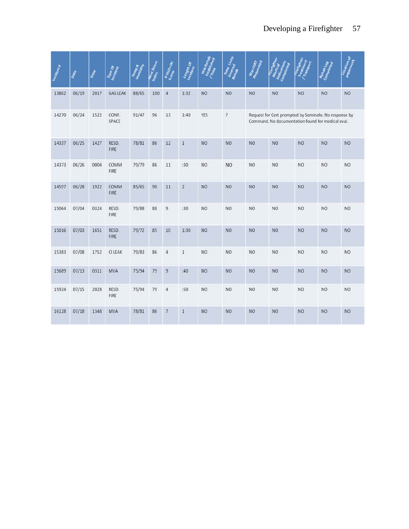| Incidents | Date  | Nme  | è               |       | Index Stress | <b>#Units On</b> | engeth Of      |                | Units                    | Was Clerk      |                                                                                                            |                | Revise<br>Com  | Tocation of<br>â |
|-----------|-------|------|-----------------|-------|--------------|------------------|----------------|----------------|--------------------------|----------------|------------------------------------------------------------------------------------------------------------|----------------|----------------|------------------|
| 13862     | 06/19 | 2017 | <b>GAS LEAK</b> | 88/65 | 100          | $\overline{4}$   | 1:32           | <b>NO</b>      | <b>NO</b>                | <b>NO</b>      | <b>NO</b>                                                                                                  | <b>NO</b>      | <b>NO</b>      | <b>NO</b>        |
| 14270     | 06/24 | 1522 | CONF.<br>SPACE  | 91/47 | 96           | $13\,$           | 1:40           | YES            | $\overline{\mathcal{E}}$ |                | Request for Cert prompted by Seminole. No response by<br>Command. No documentation found for medical eval. |                |                |                  |
| 14337     | 06/25 | 1427 | RESD.<br>FIRE   | 78/81 | 86           | 12               | $\mathbf{1}$   | <b>NO</b>      | <b>NO</b>                | <b>NO</b>      | <b>NO</b>                                                                                                  | <b>NO</b>      | <b>NO</b>      | <b>NO</b>        |
| 14373     | 06/26 | 0004 | COMM<br>FIRE    | 79/79 | 86           | $11\,$           | :30            | <b>NO</b>      | <b>NO</b>                | N <sub>O</sub> | N <sub>O</sub>                                                                                             | N <sub>O</sub> | N <sub>O</sub> | NO.              |
| 14597     | 06/28 | 1922 | COMM<br>FIRE    | 85/65 | 90           | $11$             | $\overline{2}$ | <b>NO</b>      | <b>NO</b>                | <b>NO</b>      | NO.                                                                                                        | <b>NO</b>      | <b>NO</b>      | <b>NO</b>        |
| 15064     | 07/04 | 0324 | RESD.<br>FIRE   | 79/88 | 88           | $\overline{9}$   | :30            | <b>NO</b>      | NO.                      | <b>NO</b>      | NO.                                                                                                        | N <sub>O</sub> | N <sub>O</sub> | NO <sub>1</sub>  |
| 15016     | 07/03 | 1651 | RESD.<br>FIRE   | 79/72 | 85           | 10               | 1:30           | <b>NO</b>      | <b>NO</b>                | <b>NO</b>      | <b>NO</b>                                                                                                  | <b>NO</b>      | <b>NO</b>      | <b>NO</b>        |
| 15383     | 07/08 | 1752 | <b>CILEAK</b>   | 79/83 | 86           | $\overline{4}$   | $\mathbf 1$    | N <sub>O</sub> | <b>NO</b>                | NO.            | NO.                                                                                                        | <b>NO</b>      | N <sub>O</sub> | <b>NO</b>        |
| 15689     | 07/13 | 0311 | <b>MVA</b>      | 75/94 | 79           | $\overline{9}$   | :40            | <b>NO</b>      | <b>NO</b>                | <b>NO</b>      | <b>NO</b>                                                                                                  | <b>NO</b>      | <b>NO</b>      | <b>NO</b>        |
| 15924     | 07/15 | 2028 | RESD.<br>FIRE   | 75/94 | 79           | 4                | :50            | N <sub>O</sub> | NO.                      | N <sub>O</sub> | NO.                                                                                                        | <b>NO</b>      | <b>NO</b>      | <b>NO</b>        |
| 16128     | 07/18 | 1348 | <b>MVA</b>      | 78/81 | 86           | $\overline{7}$   | $\mathbf{1}$   | <b>NO</b>      | <b>NO</b>                | <b>NO</b>      | NO.                                                                                                        | <b>NO</b>      | <b>NO</b>      | NO               |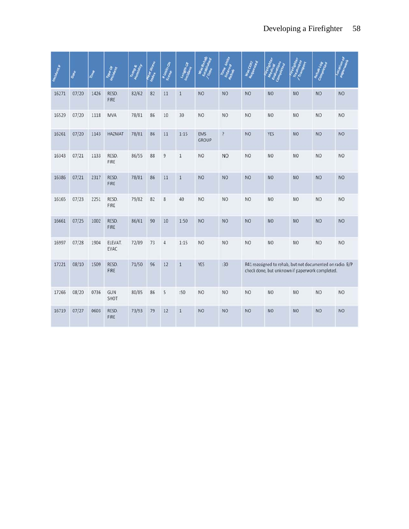| Incidenta | Date  | IERRE | ç.              |       | Index Stress | <b>#Units On</b> | ngth Or      |                     | Units          | Was Clerry |                                                                                                              |                | Comp            | Tocation of    |
|-----------|-------|-------|-----------------|-------|--------------|------------------|--------------|---------------------|----------------|------------|--------------------------------------------------------------------------------------------------------------|----------------|-----------------|----------------|
| 16271     | 07/20 | 1426  | RESD.<br>FIRE   | 82/62 | 82           | 11               | $\mathbf{1}$ | <b>NO</b>           | <b>NO</b>      | <b>NO</b>  | <b>NO</b>                                                                                                    | <b>NO</b>      | <b>NO</b>       | <b>NO</b>      |
| 16529     | 07/20 | 1118  | <b>MVA</b>      | 78/81 | 86           | 10               | 30           | N <sub>O</sub>      | N <sub>O</sub> | NO.        | NO <sub>1</sub>                                                                                              | <b>NO</b>      | NO.             | N <sub>O</sub> |
| 16261     | 07/20 | 1143  | <b>HAZMAT</b>   | 78/81 | 86           | 11               | 1:15         | EMS<br><b>GROUP</b> | <sup>2</sup>   | <b>NO</b>  | <b>YES</b>                                                                                                   | <b>NO</b>      | <b>NO</b>       | <b>NO</b>      |
| 16343     | 07/21 | 1133  | RESD.<br>FIRE   | 86/55 | 88           | 9                | $1\,$        | <b>NO</b>           | <b>NO</b>      | NO.        | <b>NO</b>                                                                                                    | N <sub>O</sub> | <b>NO</b>       | <b>NO</b>      |
| 16386     | 07/21 | 2317  | RESD.<br>FIRE   | 78/81 | 86           | 11               | $\mathbf{1}$ | <b>NO</b>           | NO.            | <b>NO</b>  | NO.                                                                                                          | <b>NO</b>      | <b>NO</b>       | <b>NO</b>      |
| 16165     | 07/23 | 2251  | RESD.<br>FIRE   | 79/82 | 82           | $\boldsymbol{8}$ | 40           | <b>NO</b>           | NO.            | <b>NO</b>  | NO.                                                                                                          | <b>NO</b>      | NO <sub>1</sub> | NO.            |
| 16661     | 07/25 | 1002  | RESD.<br>FIRE   | 86/61 | 90           | 10               | 1:50         | <b>NO</b>           | <b>NO</b>      | <b>NO</b>  | <b>NO</b>                                                                                                    | <b>NO</b>      | <b>NO</b>       | <b>NO</b>      |
| 16997     | 07/28 | 1904  | ELEVAT.<br>EVAC | 72/89 | 73           | $\overline{4}$   | 1:15         | <b>NO</b>           | NO.            | NO.        | NO.                                                                                                          | <b>NO</b>      | NO.             | <b>NO</b>      |
| 17221     | 08/10 | 1509  | RESD.<br>FIRE   | 71/50 | 96           | $12\,$           | $\mathbf{1}$ | <b>YES</b>          | :30            |            | R41 reassigned to rehab, but not documented on radio. B/P<br>check done, but unknown if paperwork completed. |                |                 |                |
| 17266     | 08/20 | 0736  | GUN<br>SHOT     | 80/85 | 86           | 5                | :50          | N <sub>O</sub>      | NO             | NO.        | NO                                                                                                           | <b>NO</b>      | NO              | <b>NO</b>      |
| 16719     | 07/27 | 0603  | RESD.<br>FIRE   | 73/93 | 79           | 12               | $\mathbf{1}$ | <b>NO</b>           | <b>NO</b>      | NO.        | <b>NO</b>                                                                                                    | <b>NO</b>      | <b>NO</b>       | <b>NO</b>      |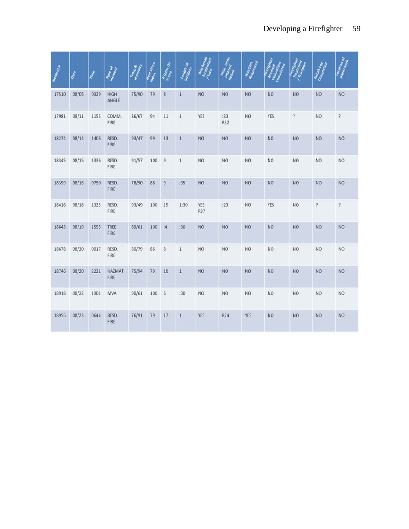| Inclaseme | Date  | TIME | <b>Vipe Of</b>        |       | meat Stress | <b># Units On</b> | Construction |                   | Units             | Was Carr   |            |                | Rehal          | <b>Tocational</b><br>Rep |
|-----------|-------|------|-----------------------|-------|-------------|-------------------|--------------|-------------------|-------------------|------------|------------|----------------|----------------|--------------------------|
| 17510     | 08/05 | 0329 | HIGH<br>ANGLE         | 75/90 | 79          | $\boldsymbol{8}$  | $1\,$        | <b>NO</b>         | <b>NO</b>         | <b>NO</b>  | <b>NO</b>  | <b>NO</b>      | <b>NO</b>      | <b>NO</b>                |
| 17981     | 08/11 | 1155 | COMM.<br>FIRE         | 86/67 | 94          | 11                | $\mathbf 1$  | YES               | :30<br><b>R32</b> | NO.        | YES        | Ş.             | N <sub>O</sub> | ?                        |
| 18274     | 08/14 | 1406 | RESD.<br>FIRE         | 93/47 | 99          | 13                | $\mathbf{1}$ | <b>NO</b>         | <b>NO</b>         | <b>NO</b>  | NO.        | <b>NO</b>      | <b>NO</b>      | <b>NO</b>                |
| 18345     | 08/15 | 1336 | RESD.<br>FIRE         | 91/57 | 100         | $\overline{9}$    | $\mathbf{1}$ | <b>NO</b>         | <b>NO</b>         | NO.        | <b>NO</b>  | NO             | NO             | NO <sub></sub>           |
| 18399     | 08/16 | 0750 | RESD.<br><b>FIRE</b>  | 78/90 | 88          | $\overline{9}$    | :35          | <b>NO</b>         | <b>NO</b>         | <b>NO</b>  | NO.        | <b>NO</b>      | <b>NO</b>      | <b>NO</b>                |
| 18416     | 08/18 | 1325 | RESD.<br>FIRE         | 93/49 | 100         | 15                | 1:30         | YES<br><b>R37</b> | :20               | NO         | <b>YES</b> | <b>NO</b>      | $\sqrt{2}$     | $\overline{\epsilon}$    |
| 18643     | 08/19 | 1555 | TREE<br>FIRE          | 89/61 | 100         | :4                | :30          | <b>NO</b>         | <b>NO</b>         | <b>NO</b>  | <b>NO</b>  | <b>NO</b>      | <b>NO</b>      | <b>NO</b>                |
| 18678     | 08/20 | 0017 | RESD.<br>FIRE         | 80/79 | 86          | 8                 | $1\,$        | NO.               | <b>NO</b>         | NO.        | NO.        | <b>NO</b>      | NO             | <b>NO</b>                |
| 18746     | 08/20 | 2221 | <b>HAZMAT</b><br>FIRE | 75/94 | 79          | 10                | $\mathbf{1}$ | <b>NO</b>         | <b>NO</b>         | NO.        | NO.        | <b>NO</b>      | <b>NO</b>      | <b>NO</b>                |
| 18918     | 08/22 | 1901 | MVA                   | 90/61 | 100         | $\sqrt{6}$        | :30          | NO                | <b>NO</b>         | NO         | <b>NO</b>  | N <sub>O</sub> | <b>NO</b>      | <b>NO</b>                |
| 18955     | 08/23 | 0644 | RESD.<br>FIRE         | 76/91 | 79          | 17                | $\mathbf{1}$ | <b>YES</b>        | R24               | <b>YES</b> | NO.        | <b>NO</b>      | <b>NO</b>      | <b>NO</b>                |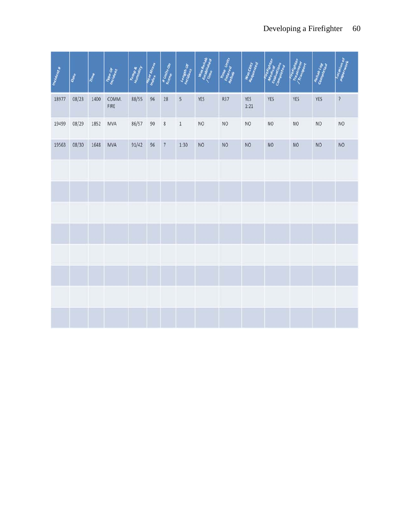| Incidents | Date  | TIME | The Or        | Tempa<br>Humidity | <b>Real Stress</b> | # Units On               | Length Of | Was Renab      | Time Units<br>Enterpre | Was CERT        | erighter<br>dical<br>ations | Fire fighter,<br>Tramsport | Rehab Log<br>Completes | Location<br>Paperhion    |
|-----------|-------|------|---------------|-------------------|--------------------|--------------------------|-----------|----------------|------------------------|-----------------|-----------------------------|----------------------------|------------------------|--------------------------|
| 18977     | 08/23 | 1400 | COMM.<br>FIRE | 88/55             | 96                 | 28                       | 5         | YES            | <b>R37</b>             | YES<br>1:21     | YES                         | YES                        | YES                    | $\overline{\mathcal{E}}$ |
| 19499     | 08/29 | 1852 | MVA           | 86/57             | 90                 | $\bf 8$                  | $\,1\,$   | N <sub>O</sub> | NO.                    | NO              | NO                          | NO                         | NO                     | NO.                      |
| 19563     | 08/30 | 1648 | <b>MVA</b>    | 91/42             | 96                 | $\overline{\phantom{a}}$ | 1:30      | NO             | NO                     | NO <sub>1</sub> | NO <sub>1</sub>             | NO <sub></sub>             | <b>NO</b>              | <b>NO</b>                |
|           |       |      |               |                   |                    |                          |           |                |                        |                 |                             |                            |                        |                          |
|           |       |      |               |                   |                    |                          |           |                |                        |                 |                             |                            |                        |                          |
|           |       |      |               |                   |                    |                          |           |                |                        |                 |                             |                            |                        |                          |
|           |       |      |               |                   |                    |                          |           |                |                        |                 |                             |                            |                        |                          |
|           |       |      |               |                   |                    |                          |           |                |                        |                 |                             |                            |                        |                          |
|           |       |      |               |                   |                    |                          |           |                |                        |                 |                             |                            |                        |                          |
|           |       |      |               |                   |                    |                          |           |                |                        |                 |                             |                            |                        |                          |
|           |       |      |               |                   |                    |                          |           |                |                        |                 |                             |                            |                        |                          |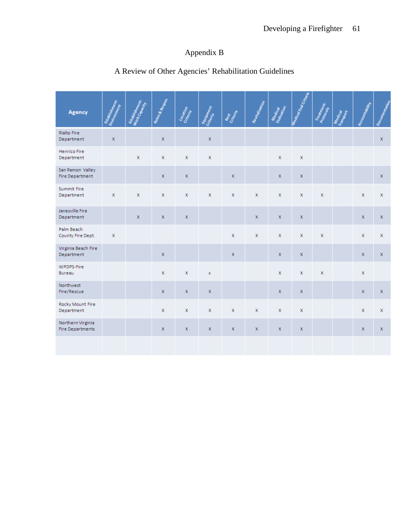## Appendix B

| Agency                                       | Exampleshment. | Exabistion of the Manuscript | Royles & Response | Location     | Equipment   | Rest<br>Criteria | Revivalization | Medical<br>Evaluation | Meorical Eral Criteria | Treatment.   | Medical | Accountability | Documentation |
|----------------------------------------------|----------------|------------------------------|-------------------|--------------|-------------|------------------|----------------|-----------------------|------------------------|--------------|---------|----------------|---------------|
| <b>Rialto Fire</b><br>Department             | $\mathbf x$    |                              | X                 |              | X           |                  |                |                       |                        |              |         |                | $\mathsf X$   |
| Henrico Fire<br>Department                   |                | $\mathsf X$                  | x                 | $\mathsf X$  | X           |                  |                | X                     | $\mathbf x$            |              |         |                |               |
| San Ramon Valley<br><b>Fire Department</b>   |                |                              | $\mathsf X$       | $\mathsf X$  |             | $\mathsf X$      |                | x                     | $\mathsf X$            |              |         |                | $\mathsf X$   |
| Summit Fire<br>Department                    | $\mathsf X$    | $\mathsf X$                  | x                 | $\mathsf X$  | x           | x                | $\mathsf X$    | x                     | $\mathsf X$            | $\mathbf x$  |         | $\mathsf X$    | $\mathsf X$   |
| Janesville Fire<br>Department                |                | x                            | x                 | $\mathsf{X}$ |             |                  | $\mathsf{X}$   | x                     | $\mathsf X$            |              |         | x              | $\mathbf{x}$  |
| Palm Beach<br>County Fire Dept.              | $\mathsf{X}$   |                              |                   |              |             | $\mathsf{X}$     | X              | x                     | $\mathsf{X}$           | $\mathbf{x}$ |         | X              | $\mathsf X$   |
| Virginia Beach Fire<br>Department            |                |                              | $\mathsf{X}$      |              |             | $\mathsf{X}$     |                | X.                    | $\mathsf X$            |              |         | $\mathbf{x}$   | $\mathsf X$   |
| WPDPS-Fire<br>Bureau                         |                |                              | x                 | $\mathsf X$  | x           |                  |                | x                     | $\mathsf X$            | $\mathbf x$  |         | $\mathsf X$    |               |
| Northwest<br>Fire/Rescue                     |                |                              | $\mathbf{x}$      | $\mathsf X$  | $\mathbf x$ |                  |                | x                     | $\mathsf X$            |              |         | $\mathbf{x}$   | $\mathsf X$   |
| Rocky Mount Fire<br>Department               |                |                              | x                 | $\mathsf X$  | X           | X                | $\mathsf X$    | X                     | $\mathsf X$            |              |         | X              | $\mathsf X$   |
| Northern Virginia<br><b>Fire Departments</b> |                |                              | X.                | $\mathsf X$  | X           | x                | $\mathsf X$    | x                     | $\mathsf X$            |              |         | x              | $\mathsf X$   |
|                                              |                |                              |                   |              |             |                  |                |                       |                        |              |         |                |               |

# A Review of Other Agencies' Rehabilitation Guidelines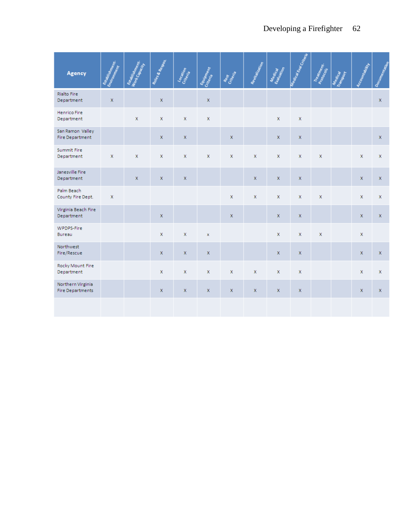| Agency                                       | Examplement. | Exabistion of the Manuscript | Royles & Respon | Location<br>Criteria | Equipment   | Rest<br>Criteria | Revitalization | Medical      | Medical Eval Criteria | Treatment.  | Meating | Accountability | Documentation |
|----------------------------------------------|--------------|------------------------------|-----------------|----------------------|-------------|------------------|----------------|--------------|-----------------------|-------------|---------|----------------|---------------|
| <b>Rialto Fire</b><br>Department             | $\mathbf x$  |                              | $\mathsf X$     |                      | $\mathsf X$ |                  |                |              |                       |             |         |                | X.            |
| Henrico Fire<br>Department                   |              | X                            | $\mathsf X$     | X                    | $\mathsf X$ |                  |                | $\mathsf X$  | $\mathsf X$           |             |         |                |               |
| San Ramon Valley<br><b>Fire Department</b>   |              |                              | $\mathsf{X}$    | x                    |             | $\mathbf x$      |                | $\mathsf{X}$ | $\mathbf x$           |             |         |                | $\mathsf X$   |
| Summit Fire<br>Department                    | $\mathsf X$  | $\mathsf X$                  | x               | x                    | $\mathsf X$ | $\mathsf X$      | $\mathsf X$    | $\mathsf X$  | $\mathsf X$           | $\mathbf x$ |         | $\mathsf X$    | $\mathsf X$   |
| Janesville Fire<br>Department                |              | $\mathsf X$                  | $\mathsf X$     | x                    |             |                  | $\mathbf{x}$   | $\mathsf X$  | $\mathsf X$           |             |         | $\mathsf X$    | $\mathsf X$   |
| Palm Beach<br>County Fire Dept.              | $\mathsf X$  |                              |                 |                      |             | $\mathbf{x}$     | $\mathsf X$    | $\mathsf{X}$ | X                     | $\mathbf x$ |         | $\mathbf{x}$   | X             |
| Virginia Beach Fire<br>Department            |              |                              | $\mathsf X$     |                      |             | $\mathsf X$      |                | $\mathsf X$  | $\mathsf X$           |             |         | $\mathsf X$    | $\mathsf X$   |
| WPDPS-Fire<br>Bureau                         |              |                              | $\mathsf{X}$    | X                    | $\mathbf x$ |                  |                | $\mathsf X$  | $\mathsf X$           | $\mathbf x$ |         | $\mathsf X$    |               |
| Northwest<br>Fire/Rescue                     |              |                              | $\mathsf X$     | x                    | $\mathsf X$ |                  |                | $\mathsf X$  | $\mathsf{X}$          |             |         | $\mathsf{X}$   | $\mathsf X$   |
| Rocky Mount Fire<br>Department               |              |                              | X               | X                    | $\mathsf X$ | $\mathsf X$      | $\mathsf X$    | $\mathsf X$  | $\mathbf x$           |             |         | $\mathsf X$    | $\mathsf X$   |
| Northern Virginia<br><b>Fire Departments</b> |              |                              | $\mathbf{x}$    | X                    | $\mathsf X$ | $\mathsf X$      | x              | $\mathsf X$  | x                     |             |         | $\mathsf X$    | $\mathsf X$   |
|                                              |              |                              |                 |                      |             |                  |                |              |                       |             |         |                |               |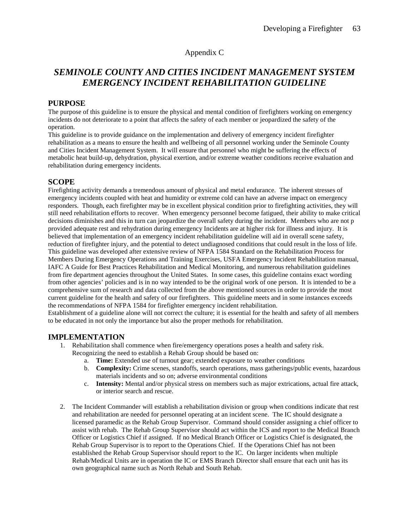## Appendix C

## *SEMINOLE COUNTY AND CITIES INCIDENT MANAGEMENT SYSTEM EMERGENCY INCIDENT REHABILITATION GUIDELINE*

### **PURPOSE**

The purpose of this guideline is to ensure the physical and mental condition of firefighters working on emergency incidents do not deteriorate to a point that affects the safety of each member or jeopardized the safety of the operation.

This guideline is to provide guidance on the implementation and delivery of emergency incident firefighter rehabilitation as a means to ensure the health and wellbeing of all personnel working under the Seminole County and Cities Incident Management System. It will ensure that personnel who might be suffering the effects of metabolic heat build-up, dehydration, physical exertion, and/or extreme weather conditions receive evaluation and rehabilitation during emergency incidents.

## **SCOPE**

Firefighting activity demands a tremendous amount of physical and metal endurance. The inherent stresses of emergency incidents coupled with heat and humidity or extreme cold can have an adverse impact on emergency responders. Though, each firefighter may be in excellent physical condition prior to firefighting activities, they will still need rehabilitation efforts to recover. When emergency personnel become fatigued, their ability to make critical decisions diminishes and this in turn can jeopardize the overall safety during the incident. Members who are not p provided adequate rest and rehydration during emergency Incidents are at higher risk for illness and injury. It is believed that implementation of an emergency incident rehabilitation guideline will aid in overall scene safety, reduction of firefighter injury, and the potential to detect undiagnosed conditions that could result in the loss of life. This guideline was developed after extensive review of NFPA 1584 Standard on the Rehabilitation Process for Members During Emergency Operations and Training Exercises, USFA Emergency Incident Rehabilitation manual, IAFC A Guide for Best Practices Rehabilitation and Medical Monitoring, and numerous rehabilitation guidelines from fire department agencies throughout the United States. In some cases, this guideline contains exact wording from other agencies' policies and is in no way intended to be the original work of one person. It is intended to be a comprehensive sum of research and data collected from the above mentioned sources in order to provide the most current guideline for the health and safety of our firefighters. This guideline meets and in some instances exceeds the recommendations of NFPA 1584 for firefighter emergency incident rehabilitation.

Establishment of a guideline alone will not correct the culture; it is essential for the health and safety of all members to be educated in not only the importance but also the proper methods for rehabilitation.

#### **IMPLEMENTATION**

- 1. Rehabilitation shall commence when fire/emergency operations poses a health and safety risk. Recognizing the need to establish a Rehab Group should be based on:
	- a. **Time:** Extended use of turnout gear; extended exposure to weather conditions
	- b. **Complexity:** Crime scenes, standoffs, search operations, mass gatherings/public events, hazardous materials incidents and so on; adverse environmental conditions
	- c. **Intensity:** Mental and/or physical stress on members such as major extrications, actual fire attack, or interior search and rescue.
- 2. The Incident Commander will establish a rehabilitation division or group when conditions indicate that rest and rehabilitation are needed for personnel operating at an incident scene. The IC should designate a licensed paramedic as the Rehab Group Supervisor. Command should consider assigning a chief officer to assist with rehab. The Rehab Group Supervisor should act within the ICS and report to the Medical Branch Officer or Logistics Chief if assigned. If no Medical Branch Officer or Logistics Chief is designated, the Rehab Group Supervisor is to report to the Operations Chief. If the Operations Chief has not been established the Rehab Group Supervisor should report to the IC. On larger incidents when multiple Rehab/Medical Units are in operation the IC or EMS Branch Director shall ensure that each unit has its own geographical name such as North Rehab and South Rehab.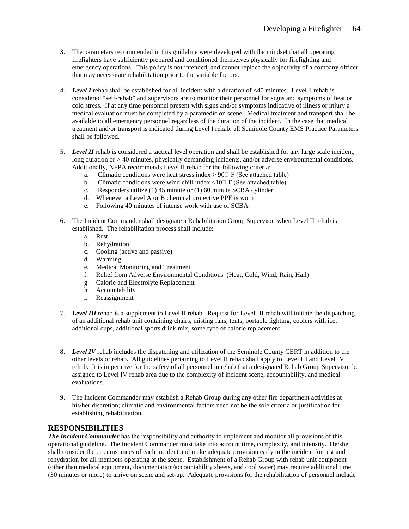- 3. The parameters recommended in this guideline were developed with the mindset that all operating firefighters have sufficiently prepared and conditioned themselves physically for firefighting and emergency operations. This policy is not intended, and cannot replace the objectivity of a company officer that may necessitate rehabilitation prior to the variable factors.
- 4. *Level I* rehab shall be established for all incident with a duration of <40 minutes. Level 1 rehab is considered "self-rehab" and supervisors are to monitor their personnel for signs and symptoms of heat or cold stress. If at any time personnel present with signs and/or symptoms indicative of illness or injury a medical evaluation must be completed by a paramedic on scene. Medical treatment and transport shall be available to all emergency personnel regardless of the duration of the incident. In the case that medical treatment and/or transport is indicated during Level I rehab, all Seminole County EMS Practice Parameters shall be followed.
- 5. *Level II* rehab is considered a tactical level operation and shall be established for any large scale incident, long duration or  $> 40$  minutes, physically demanding incidents, and/or adverse environmental conditions. Additionally, NFPA recommends Level II rehab for the following criteria:
	- a. Climatic conditions were heat stress index  $> 90\degree$  F (See attached table)
	- b. Climatic conditions were wind chill index  $\langle 10 \rangle$  F (See attached table)
	- c. Responders utilize (1) 45 minute or (1) 60 minute SCBA cylinder
	- d. Whenever a Level A or B chemical protective PPE is worn
	- e. Following 40 minutes of intense work with use of SCBA
- 6. The Incident Commander shall designate a Rehabilitation Group Supervisor when Level II rehab is established. The rehabilitation process shall include:
	- a. Rest
	- b. Rehydration
	- c. Cooling (active and passive)
	- d. Warming
	- e. Medical Monitoring and Treatment
	- f. Relief from Adverse Environmental Conditions (Heat, Cold, Wind, Rain, Hail)
	- g. Calorie and Electrolyte Replacement
	- h. Accountability
	- i. Reassignment
- 7. *Level III* rehab is a supplement to Level II rehab. Request for Level III rehab will initiate the dispatching of an additional rehab unit containing chairs, misting fans, tents, portable lighting, coolers with ice, additional cups, additional sports drink mix, some type of calorie replacement
- 8. *Level IV* rehab includes the dispatching and utilization of the Seminole County CERT in addition to the other levels of rehab. All guidelines pertaining to Level II rehab shall apply to Level III and Level IV rehab. It is imperative for the safety of all personnel in rehab that a designated Rehab Group Supervisor be assigned to Level IV rehab area due to the complexity of incident scene, accountability, and medical evaluations.
- 9. The Incident Commander may establish a Rehab Group during any other fire department activities at his/her discretion; climatic and environmental factors need not be the sole criteria or justification for establishing rehabilitation.

#### **RESPONSIBILITIES**

*The Incident Commander* has the responsibility and authority to implement and monitor all provisions of this operational guideline. The Incident Commander must take into account time, complexity, and intensity. He/she shall consider the circumstances of each incident and make adequate provision early in the incident for rest and rehydration for all members operating at the scene. Establishment of a Rehab Group with rehab unit equipment (other than medical equipment, documentation/accountability sheets, and cool water) may require additional time (30 minutes or more) to arrive on scene and set-up. Adequate provisions for the rehabilitation of personnel include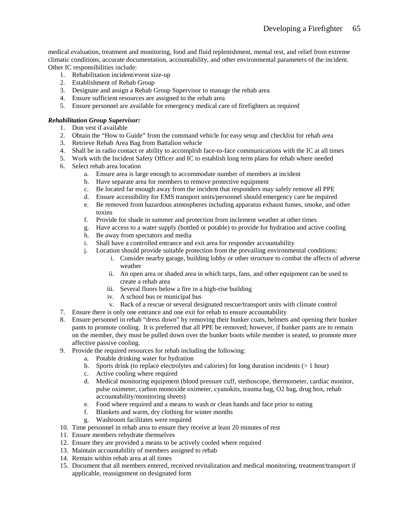medical evaluation, treatment and monitoring, food and fluid replenishment, mental rest, and relief from extreme climatic conditions, accurate documentation, accountability, and other environmental parameters of the incident. Other IC responsibilities include:

- 1. Rehabilitation incident/event size-up
- 2. Establishment of Rehab Group
- 3. Designate and assign a Rehab Group Supervisor to manage the rehab area
- 4. Ensure sufficient resources are assigned to the rehab area
- 5. Ensure personnel are available for emergency medical care of firefighters as required

#### *Rehabilitation Group Supervisor:*

- 1. Don vest if available
- 2. Obtain the "How to Guide" from the command vehicle for easy setup and checklist for rehab area
- 3. Retrieve Rehab Area Bag from Battalion vehicle
- 4. Shall be in radio contact or ability to accomplish face-to-face communications with the IC at all times
- 5. Work with the Incident Safety Officer and IC to establish long term plans for rehab where needed
- 6. Select rehab area location
	- a. Ensure area is large enough to accommodate number of members at incident
	- b. Have separate area for members to remove protective equipment
	- c. Be located far enough away from the incident that responders may safely remove all PPE
	- d. Ensure accessibility for EMS transport units/personnel should emergency care be required
	- e. Be removed from hazardous atmospheres including apparatus exhaust fumes, smoke, and other toxins
	- f. Provide for shade in summer and protection from inclement weather at other times
	- g. Have access to a water supply (bottled or potable) to provide for hydration and active cooling
	- h. Be away from spectators and media
	- i. Shall have a controlled entrance and exit area for responder accountability
	- j. Location should provide suitable protection from the prevailing environmental conditions:
		- i. Consider nearby garage, building lobby or other structure to combat the affects of adverse weather
		- ii. An open area or shaded area in which tarps, fans, and other equipment can be used to create a rehab area
		- iii. Several floors below a fire in a high-rise building
		- iv. A school bus or municipal bus
		- v. Back of a rescue or several designated rescue/transport units with climate control
- 7. Ensure there is only one entrance and one exit for rehab to ensure accountability
- 8. Ensure personnel in rehab "dress down" by removing their bunker coats, helmets and opening their bunker pants to promote cooling. It is preferred that all PPE be removed; however, if bunker pants are to remain on the member, they must be pulled down over the bunker boots while member is seated, to promote more affective passive cooling.
- 9. Provide the required resources for rehab including the following:
	- a. Potable drinking water for hydration
	- b. Sports drink (to replace electrolytes and calories) for long duration incidents ( $> 1$  hour)
	- c. Active cooling where required
	- d. Medical monitoring equipment (blood pressure cuff, stethoscope, thermometer, cardiac monitor, pulse oximeter, carbon monoxide oximeter, cyanokits, trauma bag, O2 bag, drug box, rehab accountability/monitoring sheets)
	- e. Food where required and a means to wash or clean hands and face prior to eating
	- f. Blankets and warm, dry clothing for winter months
	- g. Washroom facilitates were required
- 10. Time personnel in rehab area to ensure they receive at least 20 minutes of rest
- 11. Ensure members rehydrate themselves
- 12. Ensure they are provided a means to be actively cooled where required
- 13. Maintain accountability of members assigned to rehab
- 14. Remain within rehab area at all times
- 15. Document that all members entered, received revitalization and medical monitoring, treatment/transport if applicable, reassignment on designated form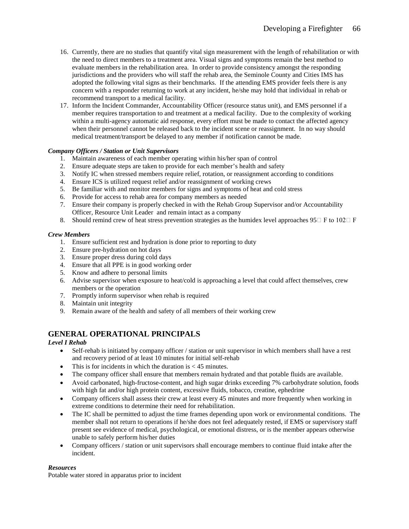- 16. Currently, there are no studies that quantify vital sign measurement with the length of rehabilitation or with the need to direct members to a treatment area. Visual signs and symptoms remain the best method to evaluate members in the rehabilitation area. In order to provide consistency amongst the responding jurisdictions and the providers who will staff the rehab area, the Seminole County and Cities IMS has adopted the following vital signs as their benchmarks. If the attending EMS provider feels there is any concern with a responder returning to work at any incident, he/she may hold that individual in rehab or recommend transport to a medical facility.
- 17. Inform the Incident Commander, Accountability Officer (resource status unit), and EMS personnel if a member requires transportation to and treatment at a medical facility. Due to the complexity of working within a multi-agency automatic aid response, every effort must be made to contact the affected agency when their personnel cannot be released back to the incident scene or reassignment. In no way should medical treatment/transport be delayed to any member if notification cannot be made.

#### *Company Officers / Station or Unit Supervisors*

- 1. Maintain awareness of each member operating within his/her span of control
- 2. Ensure adequate steps are taken to provide for each member's health and safety
- 3. Notify IC when stressed members require relief, rotation, or reassignment according to conditions
- 4. Ensure ICS is utilized request relief and/or reassignment of working crews
- 5. Be familiar with and monitor members for signs and symptoms of heat and cold stress
- 6. Provide for access to rehab area for company members as needed
- 7. Ensure their company is properly checked in with the Rehab Group Supervisor and/or Accountability Officer, Resource Unit Leader and remain intact as a company
- 8. Should remind crew of heat stress prevention strategies as the humidex level approaches  $95\Box$  F to  $102\Box$  F

#### *Crew Members*

- 1. Ensure sufficient rest and hydration is done prior to reporting to duty
- 2. Ensure pre-hydration on hot days
- 3. Ensure proper dress during cold days
- 4. Ensure that all PPE is in good working order
- 5. Know and adhere to personal limits
- 6. Advise supervisor when exposure to heat/cold is approaching a level that could affect themselves, crew members or the operation
- 7. Promptly inform supervisor when rehab is required
- 8. Maintain unit integrity
- 9. Remain aware of the health and safety of all members of their working crew

## **GENERAL OPERATIONAL PRINCIPALS**

#### *Level I Rehab*

- Self-rehab is initiated by company officer / station or unit supervisor in which members shall have a rest and recovery period of at least 10 minutes for initial self-rehab
- This is for incidents in which the duration is  $< 45$  minutes.
- The company officer shall ensure that members remain hydrated and that potable fluids are available.
- Avoid carbonated, high-fructose-content, and high sugar drinks exceeding 7% carbohydrate solution, foods with high fat and/or high protein content, excessive fluids, tobacco, creatine, ephedrine
- Company officers shall assess their crew at least every 45 minutes and more frequently when working in extreme conditions to determine their need for rehabilitation.
- The IC shall be permitted to adjust the time frames depending upon work or environmental conditions. The member shall not return to operations if he/she does not feel adequately rested, if EMS or supervisory staff present see evidence of medical, psychological, or emotional distress, or is the member appears otherwise unable to safely perform his/her duties
- Company officers / station or unit supervisors shall encourage members to continue fluid intake after the incident.

#### *Resources*

Potable water stored in apparatus prior to incident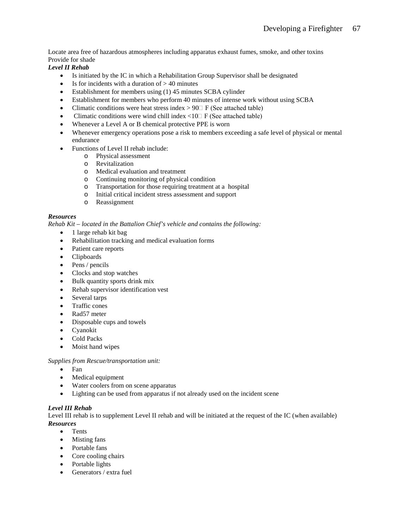Locate area free of hazardous atmospheres including apparatus exhaust fumes, smoke, and other toxins Provide for shade

## *Level II Rehab*

- Is initiated by the IC in which a Rehabilitation Group Supervisor shall be designated
- Is for incidents with a duration of  $> 40$  minutes
- Establishment for members using (1) 45 minutes SCBA cylinder
- Establishment for members who perform 40 minutes of intense work without using SCBA
- Climatic conditions were heat stress index  $> 90\degree$  F (See attached table)
- Climatic conditions were wind chill index  $\langle 10 \rangle$  F (See attached table)
- Whenever a Level A or B chemical protective PPE is worn
- Whenever emergency operations pose a risk to members exceeding a safe level of physical or mental endurance
- Functions of Level II rehab include:
	- o Physical assessment
	- o Revitalization
	- o Medical evaluation and treatment
	- o Continuing monitoring of physical condition
	- o Transportation for those requiring treatment at a hospital
	- o Initial critical incident stress assessment and support
	- Reassignment

### *Resources*

*Rehab Kit – located in the Battalion Chief's vehicle and contains the following:*

- 1 large rehab kit bag
- Rehabilitation tracking and medical evaluation forms
- Patient care reports
- Clipboards
- Pens / pencils
- Clocks and stop watches
- Bulk quantity sports drink mix
- Rehab supervisor identification vest
- Several tarps
- Traffic cones
- Rad57 meter
- Disposable cups and towels
- Cyanokit
- Cold Packs
- Moist hand wipes

#### *Supplies from Rescue/transportation unit:*

- Fan
- Medical equipment
- Water coolers from on scene apparatus
- Lighting can be used from apparatus if not already used on the incident scene

#### *Level III Rehab*

Level III rehab is to supplement Level II rehab and will be initiated at the request of the IC (when available) *Resources*

- Tents
- Misting fans
- Portable fans
- Core cooling chairs
- Portable lights
- Generators / extra fuel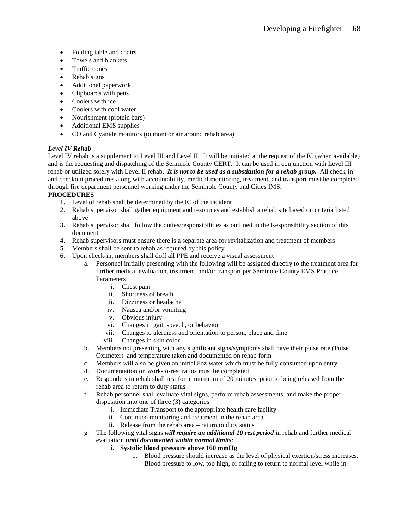- Folding table and chairs
- Towels and blankets
- Traffic cones
- Rehab signs
- Additional paperwork
- Clipboards with pens
- Coolers with ice
- Coolers with cool water
- Nourishment (protein bars)
- Additional EMS supplies
- CO and Cyanide monitors (to monitor air around rehab area)

### *Level IV Rehab*

Level IV rehab is a supplement to Level III and Level II. It will be initiated at the request of the IC (when available) and is the requesting and dispatching of the Seminole County CERT. It can be used in conjunction with Level III rehab or utilized solely with Level II rehab. *It is not to be used as a substitution for a rehab group.* All check-in and checkout procedures along with accountability, medical monitoring, treatment, and transport must be completed through fire department personnel working under the Seminole County and Cities IMS.

#### **PROCEDURES**

- 1. Level of rehab shall be determined by the IC of the incident
- 2. Rehab supervisor shall gather equipment and resources and establish a rehab site based on criteria listed above
- 3. Rehab supervisor shall follow the duties/responsibilities as outlined in the Responsibility section of this document
- 4. Rehab supervisors must ensure there is a separate area for revitalization and treatment of members
- 5. Members shall be sent to rehab as required by this policy
- 6. Upon check-in, members shall doff all PPE and receive a visual assessment
	- a. Personnel initially presenting with the following will be assigned directly to the treatment area for further medical evaluation, treatment, and/or transport per Seminole County EMS Practice Parameters
		- i. Chest pain
		- ii. Shortness of breath
		- iii. Dizziness or headache
		- iv. Nausea and/or vomiting
		- v. Obvious injury
		- vi. Changes in gait, speech, or behavior
		- vii. Changes to alertness and orientation to person, place and time
		- viii. Changes in skin color
	- b. Members not presenting with any significant signs/symptoms shall have their pulse rate (Pulse Oximeter) and temperature taken and documented on rehab form
	- c. Members will also be given an initial 8oz water which must be fully consumed upon entry
	- d. Documentation on work-to-rest ratios must be completed
	- e. Responders in rehab shall rest for a minimum of 20 minutes prior to being released from the rehab area to return to duty status
	- f. Rehab personnel shall evaluate vital signs, perform rehab assessments, and make the proper disposition into one of three (3) categories
		- i. Immediate Transport to the appropriate health care facility
		- ii. Continued monitoring and treatment in the rehab area
		- iii. Release from the rehab area return to duty status
	- g. The following vital signs *will require an additional 10 rest period* in rehab and further medical evaluation *until documented within normal limits:*
		- **i. Systolic blood pressure above 160 mmHg**
			- 1. Blood pressure should increase as the level of physical exertion/stress increases. Blood pressure to low, too high, or failing to return to normal level while in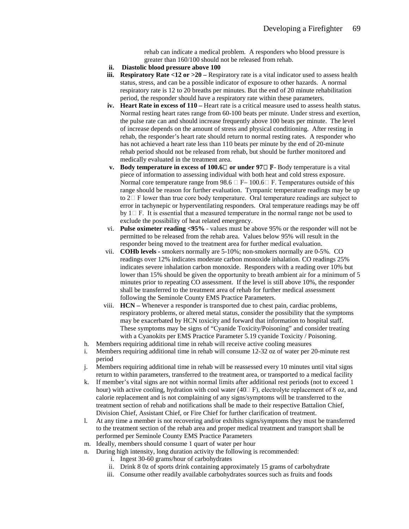rehab can indicate a medical problem. A responders who blood pressure is greater than 160/100 should not be released from rehab.

- **ii. Diastolic blood pressure above 100**
- **iii. Respiratory Rate <12 or >20** Respiratory rate is a vital indicator used to assess health status, stress, and can be a possible indicator of exposure to other hazards. A normal respiratory rate is 12 to 20 breaths per minutes. But the end of 20 minute rehabilitation period, the responder should have a respiratory rate within these parameters.
- **iv. Heart Rate in excess of 110 –** Heart rate is a critical measure used to assess health status. Normal resting heart rates range from 60-100 beats per minute. Under stress and exertion, the pulse rate can and should increase frequently above 100 beats per minute. The level of increase depends on the amount of stress and physical conditioning. After resting in rehab, the responder's heart rate should return to normal resting rates. A responder who has not achieved a heart rate less than 110 beats per minute by the end of 20-minute rehab period should not be released from rehab, but should be further monitored and medically evaluated in the treatment area.
- **v.** Body temperature in excess of 100.6 $\Box$  or under 97 $\Box$  F- Body temperature is a vital piece of information to assessing individual with both heat and cold stress exposure. Normal core temperature range from 98.6  $\Box$  F– 100.6 $\Box$  F. Temperatures outside of this range should be reason for further evaluation. Tympanic temperature readings may be up to  $2\square$  F lower than true core body temperature. Oral temperature readings are subject to error in tachynepic or hyperventilating responders. Oral temperature readings may be off by  $1 \square F$ . It is essential that a measured temperature in the normal range not be used to exclude the possibility of heat related emergency.
- vi. **Pulse oximeter reading <95%** values must be above 95% or the responder will not be permitted to be released from the rehab area. Values below 95% will result in the responder being moved to the treatment area for further medical evaluation.
- vii. **COHb levels -** smokers normally are 5-10%; non-smokers normally are 0-5%. CO readings over 12% indicates moderate carbon monoxide inhalation. CO readings 25% indicates severe inhalation carbon monoxide. Responders with a reading over 10% but lower than 15% should be given the opportunity to breath ambient air for a minimum of 5 minutes prior to repeating CO assessment. If the level is still above 10%, the responder shall be transferred to the treatment area of rehab for further medical assessment following the Seminole County EMS Practice Parameters.
- viii. **HCN –** Whenever a responder is transported due to chest pain, cardiac problems, respiratory problems, or altered metal status, consider the possibility that the symptoms may be exacerbated by HCN toxicity and forward that information to hospital staff. These symptoms may be signs of "Cyanide Toxicity/Poisoning" and consider treating with a Cyanokits per EMS Practice Parameter 5.19 cyanide Toxicity / Poisoning.
- h. Members requiring additional time in rehab will receive active cooling measures
- i. Members requiring additional time in rehab will consume 12-32 oz of water per 20-minute rest period
- j. Members requiring additional time in rehab will be reassessed every 10 minutes until vital signs return to within parameters, transferred to the treatment area, or transported to a medical facility
- k. If member's vital signs are not within normal limits after additional rest periods (not to exceed 1 hour) with active cooling, hydration with cool water (40⁰ F), electrolyte replacement of 8 oz, and calorie replacement and is not complaining of any signs/symptoms will be transferred to the treatment section of rehab and notifications shall be made to their respective Battalion Chief, Division Chief, Assistant Chief, or Fire Chief for further clarification of treatment.
- l. At any time a member is not recovering and/or exhibits signs/symptoms they must be transferred to the treatment section of the rehab area and proper medical treatment and transport shall be performed per Seminole County EMS Practice Parameters
- m. Ideally, members should consume 1 quart of water per hour
- n. During high intensity, long duration activity the following is recommended:
	- i. Ingest 30-60 grams/hour of carbohydrates
	- ii. Drink 8 0z of sports drink containing approximately 15 grams of carbohydrate
	- iii. Consume other readily available carbohydrates sources such as fruits and foods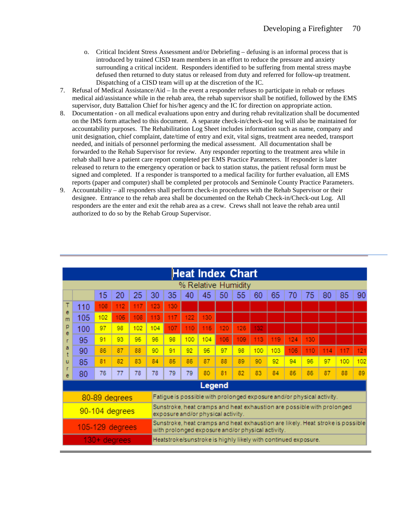- o. Critical Incident Stress Assessment and/or Debriefing defusing is an informal process that is introduced by trained CISD team members in an effort to reduce the pressure and anxiety surrounding a critical incident. Responders identified to be suffering from mental stress maybe defused then returned to duty status or released from duty and referred for follow-up treatment. Dispatching of a CISD team will up at the discretion of the IC.
- 7. Refusal of Medical Assistance/Aid In the event a responder refuses to participate in rehab or refuses medical aid/assistance while in the rehab area, the rehab supervisor shall be notified, followed by the EMS supervisor, duty Battalion Chief for his/her agency and the IC for direction on appropriate action.
- 8. Documentation on all medical evaluations upon entry and during rehab revitalization shall be documented on the IMS form attached to this document. A separate check-in/check-out log will also be maintained for accountability purposes. The Rehabilitation Log Sheet includes information such as name, company and unit designation, chief complaint, date/time of entry and exit, vital signs, treatment area needed, transport needed, and initials of personnel performing the medical assessment. All documentation shall be forwarded to the Rehab Supervisor for review. Any responder reporting to the treatment area while in rehab shall have a patient care report completed per EMS Practice Parameters. If responder is later released to return to the emergency operation or back to station status, the patient refusal form must be signed and completed. If a responder is transported to a medical facility for further evaluation, all EMS reports (paper and computer) shall be completed per protocols and Seminole County Practice Parameters.
- 9. Accountability all responders shall perform check-in procedures with the Rehab Supervisor or their designee. Entrance to the rehab area shall be documented on the Rehab Check-in/Check-out Log. All responders are the enter and exit the rehab area as a crew. Crews shall not leave the rehab area until authorized to do so by the Rehab Group Supervisor.

|        |                 |     |                |     |                                                                                               |                                                            |     | <b>Heat Index Chart</b>                                                                                                             |     |     |     |     |     |     |    |    |    |  |
|--------|-----------------|-----|----------------|-----|-----------------------------------------------------------------------------------------------|------------------------------------------------------------|-----|-------------------------------------------------------------------------------------------------------------------------------------|-----|-----|-----|-----|-----|-----|----|----|----|--|
|        |                 |     |                |     |                                                                                               |                                                            |     | % Relative Humidity                                                                                                                 |     |     |     |     |     |     |    |    |    |  |
|        |                 | 15  | 20             | 25  | 30                                                                                            | 35                                                         | 40  | 45                                                                                                                                  | 50  | 55  | 60  | 65  | 70  | 75  | 80 | 85 | 90 |  |
|        | 110             | 108 | 112            | 117 | 123                                                                                           | 130                                                        |     |                                                                                                                                     |     |     |     |     |     |     |    |    |    |  |
| е<br>m | 105             | 102 | 105            | 108 | 113                                                                                           | 117                                                        | 122 | 130                                                                                                                                 |     |     |     |     |     |     |    |    |    |  |
| p<br>e | 100             | 97  | 98             | 102 | 104                                                                                           | 107                                                        | 110 | 115                                                                                                                                 | 120 | 126 | 132 |     |     |     |    |    |    |  |
|        | 95              | 91  | 93             | 95  | 96                                                                                            | 98                                                         | 100 | 104                                                                                                                                 | 106 | 109 | 113 | 119 | 124 | 130 |    |    |    |  |
| а      | 90              | 86  | 87             | 88  | 90<br>91<br>92<br>95<br>97<br>98<br>100<br>103<br>106<br>110<br>117<br>121<br>114<br>87<br>88 |                                                            |     |                                                                                                                                     |     |     |     |     |     |     |    |    |    |  |
| u      | 85              | 81  | 82             | 83  | 84                                                                                            | 85<br>89<br>96<br>97<br>86<br>90<br>92<br>94<br>102<br>100 |     |                                                                                                                                     |     |     |     |     |     |     |    |    |    |  |
| e      | 80              | 76  | 77             | 78  | 78                                                                                            | 79                                                         | 79  | 80                                                                                                                                  | 81  | 82  | 83  | 84  | 85  | 86  | 87 | 88 | 89 |  |
|        |                 |     |                |     |                                                                                               |                                                            |     | Legend                                                                                                                              |     |     |     |     |     |     |    |    |    |  |
|        |                 |     | 80-89 degrees  |     |                                                                                               |                                                            |     | Fatigue is possible with prolonged exposure and/or physical activity.                                                               |     |     |     |     |     |     |    |    |    |  |
|        |                 |     | 90-104 degrees |     |                                                                                               |                                                            |     | Sunstroke, heat cramps and heat exhaustion are possible with prolonged<br>exposure and/or physical activity.                        |     |     |     |     |     |     |    |    |    |  |
|        | 105-129 degrees |     |                |     |                                                                                               |                                                            |     | Sunstroke, heat cramps and heat exhaustion are likely. Heat stroke is possible<br>with prolonged exposure and/or physical activity. |     |     |     |     |     |     |    |    |    |  |
|        |                 |     | 130+ degrees   |     |                                                                                               |                                                            |     | Heatstroke/sunstroke is highly likely with continued exposure.                                                                      |     |     |     |     |     |     |    |    |    |  |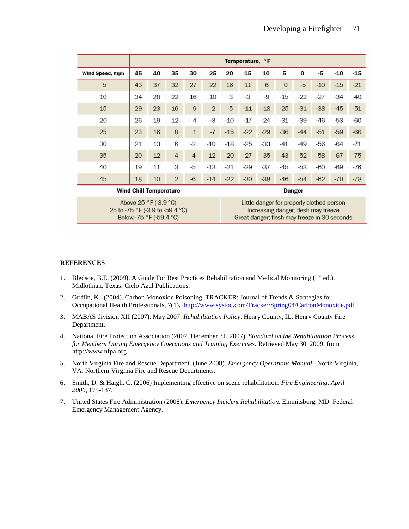|                                 |    |                                                  |                |              |                |       | Temperature, °F                              |       |                                                                                  |        |       |       |       |
|---------------------------------|----|--------------------------------------------------|----------------|--------------|----------------|-------|----------------------------------------------|-------|----------------------------------------------------------------------------------|--------|-------|-------|-------|
| Wind Speed, mph                 | 45 | 40                                               | 35             | 30           | 25             | 20    | 15                                           | 10    | 5                                                                                | 0      | -5    | -10   | -15   |
| 5                               | 43 | 37                                               | 32             | 27           | 22             | 16    | 11                                           | 6     | $\Omega$                                                                         | $-5$   | $-10$ | $-15$ | $-21$ |
| 10                              | 34 | 28                                               | 22             | 16           | 10             | 3     | -3                                           | -9    | $-15$                                                                            | $-22$  | $-27$ | -34   | $-40$ |
| 15                              | 29 | 23                                               | 16             | 9            | $\overline{2}$ | -5    | $-11$                                        | $-18$ | $-25$                                                                            | $-31$  | $-38$ | $-45$ | $-51$ |
| 20                              | 26 | 19                                               | 12             | 4            | -3             | $-10$ | $-17$                                        | -24   | $-31$                                                                            | $-39$  | -46   | $-53$ | -60   |
| 25                              | 23 | 16                                               | 8              | $\mathbf{1}$ | $-7$           | $-15$ | $-22$                                        | $-29$ | $-36$                                                                            | $-44$  | $-51$ | $-59$ | $-66$ |
| 30                              | 21 | 13                                               | 6              | -2           | $-10$          | $-18$ | $-25$                                        | $-33$ | $-41$                                                                            | -49    | -56   | -64   | $-71$ |
| 35                              | 20 | 12                                               | $\overline{4}$ | $-4$         | $-12$          | $-20$ | $-27$                                        | $-35$ | $-43$                                                                            | $-52$  | $-58$ | $-67$ | $-75$ |
| 40                              | 19 | 11                                               | 3              | -5           | $-13$          | $-21$ | $-29$                                        | $-37$ | $-45$                                                                            | $-53$  | -60   | $-69$ | $-76$ |
| 45                              | 18 | 10                                               | $\overline{2}$ | $-6$         | $-14$          | $-22$ | $-30$                                        | $-38$ | $-46$                                                                            | $-54$  | $-62$ | $-70$ | $-78$ |
|                                 |    | Wind Chill Temperature                           |                |              |                |       |                                              |       |                                                                                  | Danger |       |       |       |
| 25 to -75 °F (-3.9 to -59.4 °C) |    | Above 25 °F (-3.9 °C)<br>Below -75 °F (-59.4 °C) |                |              |                |       | Great danger; flesh may freeze in 30 seconds |       | Little danger for properly clothed person<br>Increasing danger; flesh may freeze |        |       |       |       |

#### **REFERENCES**

- 1. Bledsoe, B.E. (2009). A Guide For Best Practices Rehabilitation and Medical Monitoring (1<sup>st</sup> ed.). Midlothian, Texas: Cielo Azul Publications.
- 2. Griffin, K. (2004). Carbon Monoxide Poisoning. TRACKER: Journal of Trends & Strategies for Occupational Health Professionals, 7(1). <http://www.systoc.com/Tracker/Spring04/CarbonMonoxide.pdf>
- 3. MABAS division XII (2007). May 2007. *Rehabilitation Policy*. Henry County, IL: Henry County Fire Department.
- 4. National Fire Protection Association (2007, December 31, 2007). *Standard on the Rehabilitation Process for Members During Emergency Operations and Training Exercises.* Retrieved May 30, 2009, from http://www.nfpa.org
- 5. North Virginia Fire and Rescue Department. (June 2008). *Emergency Operations Manual*. North Virginia, VA: Northern Virginia Fire and Rescue Departments.
- 6. Smith, D. & Haigh, C. (2006) Implementing effective on scene rehabilitation. *Fire Engineering, April 2006*, 175-187.
- 7. United States Fire Administration (2008). *Emergency Incident Rehabilitation.* Emmitsburg, MD: Federal Emergency Management Agency.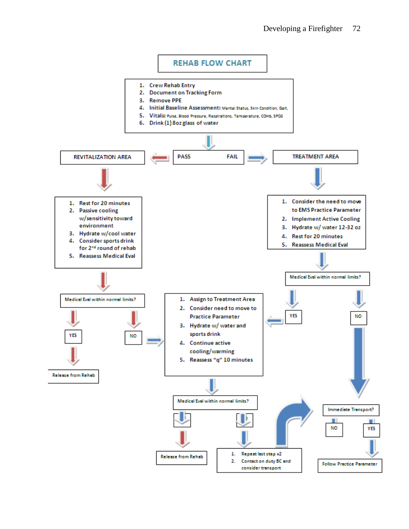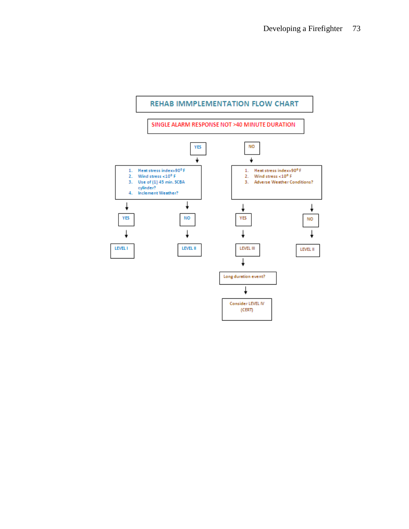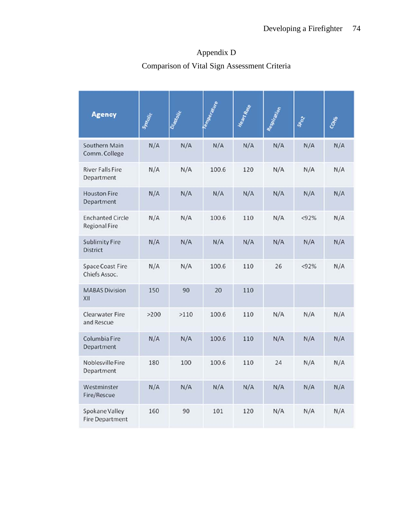| <b>Agency</b>                                   | System | Diastolic | Temperature | Heart Rate | Respiration | spoz  | COMB |
|-------------------------------------------------|--------|-----------|-------------|------------|-------------|-------|------|
| Southern Main<br>Comm. College                  | N/A    | N/A       | N/A         | N/A        | N/A         | N/A   | N/A  |
| <b>River Falls Fire</b><br>Department           | N/A    | N/A       | 100.6       | 120        | N/A         | N/A   | N/A  |
| <b>Houston Fire</b><br>Department               | N/A    | N/A       | N/A         | N/A        | N/A         | N/A   | N/A  |
| <b>Enchanted Circle</b><br><b>Regional Fire</b> | N/A    | N/A       | 100.6       | 110        | N/A         | < 92% | N/A  |
| <b>Sublimity Fire</b><br><b>District</b>        | N/A    | N/A       | N/A         | N/A        | N/A         | N/A   | N/A  |
| <b>Space Coast Fire</b><br>Chiefs Assoc.        | N/A    | N/A       | 100.6       | 110        | 26          | < 92% | N/A  |
| <b>MABAS Division</b><br>XII                    | 150    | 90        | 20          | 110        |             |       |      |
| <b>Clearwater Fire</b><br>and Rescue            | >200   | >110      | 100.6       | 110        | N/A         | N/A   | N/A  |
| Columbia Fire<br>Department                     | N/A    | N/A       | 100.6       | 110        | N/A         | N/A   | N/A  |
| Noblesville Fire<br>Department                  | 180    | 100       | 100.6       | 110        | 24          | N/A   | N/A  |
| Westminster<br>Fire/Rescue                      | N/A    | N/A       | N/A         | N/A        | N/A         | N/A   | N/A  |
| Spokane Valley<br><b>Fire Department</b>        | 160    | 90        | 101         | 120        | N/A         | N/A   | N/A  |

## Appendix D Comparison of Vital Sign Assessment Criteria